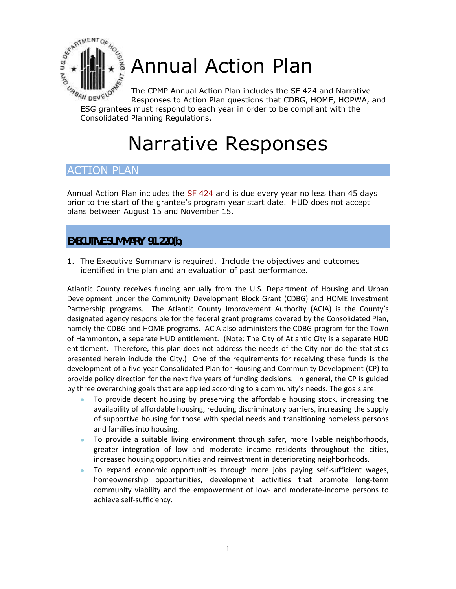

# Annual Action Plan

The CPMP Annual Action Plan includes the SF 424 and Narrative Responses to Action Plan questions that CDBG, HOME, HOPWA, and ESG grantees must response to Action Plan includes the Sr 424 and Nurror Responses to Action Plan questions that CDBG, HOME, HOPW.<br>ESG grantees must respond to each year in order to be compliant with the

Consolidated Planning Regulations.

# Narrative Responses

# ACTION PLAN

Annual Action Plan includes the [SF 424](http://www.hud.gov/utilities/intercept.cfm?offices/cpd/communitydevelopment/programs/neighborhoodspg/afa.pdf) and is due every year no less than 45 days prior to the start of the grantee's program year start date. HUD does not accept plans between August 15 and November 15.

# **EXECUTIVE SUMMARY 91.220(b)**

1. The Executive Summary is required. Include the objectives and outcomes identified in the plan and an evaluation of past performance.

Atlantic County receives funding annually from the U.S. Department of Housing and Urban Development under the Community Development Block Grant (CDBG) and HOME Investment Partnership programs. The Atlantic County Improvement Authority (ACIA) is the County's designated agency responsible for the federal grant programs covered by the Consolidated Plan, namely the CDBG and HOME programs. ACIA also administers the CDBG program for the Town of Hammonton, a separate HUD entitlement. (Note: The City of Atlantic City is a separate HUD entitlement. Therefore, this plan does not address the needs of the City nor do the statistics presented herein include the City.) One of the requirements for receiving these funds is the development of a five-year Consolidated Plan for Housing and Community Development (CP) to provide policy direction for the next five years of funding decisions. In general, the CP is guided by three overarching goals that are applied according to a community's needs. The goals are:

- To provide decent housing by preserving the affordable housing stock, increasing the availability of affordable housing, reducing discriminatory barriers, increasing the supply of supportive housing for those with special needs and transitioning homeless persons and families into housing.
- To provide a suitable living environment through safer, more livable neighborhoods, greater integration of low and moderate income residents throughout the cities, increased housing opportunities and reinvestment in deteriorating neighborhoods.
- To expand economic opportunities through more jobs paying self-sufficient wages, homeownership opportunities, development activities that promote long-term community viability and the empowerment of low- and moderate-income persons to achieve self-sufficiency.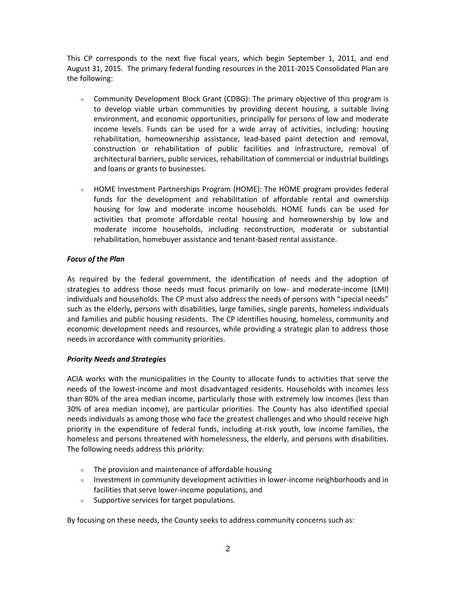This CP corresponds to the next five fiscal years, which begin September 1, 2011, and end August 31, 2015. The primary federal funding resources in the 2011-2015 Consolidated Plan are the following:

- Community Development Block Grant (CDBG): The primary objective of this program is to develop viable urban communities by providing decent housing, a suitable living environment, and economic opportunities, principally for persons of low and moderate income levels. Funds can be used for a wide array of activities, including: housing rehabilitation, homeownership assistance, lead-based paint detection and removal, construction or rehabilitation of public facilities and infrastructure, removal of architectural barriers, public services, rehabilitation of commercial or industrial buildings and loans or grants to businesses.
- HOME Investment Partnerships Program (HOME): The HOME program provides federal  $\bullet$ funds for the development and rehabilitation of affordable rental and ownership housing for low and moderate income households. HOME funds can be used for activities that promote affordable rental housing and homeownership by low and moderate income households, including reconstruction, moderate or substantial rehabilitation, homebuyer assistance and tenant-based rental assistance.

#### *Focus of the Plan*

As required by the federal government, the identification of needs and the adoption of strategies to address those needs must focus primarily on low- and moderate-income (LMI) individuals and households. The CP must also address the needs of persons with "special needs" such as the elderly, persons with disabilities, large families, single parents, homeless individuals and families and public housing residents. The CP identifies housing, homeless, community and economic development needs and resources, while providing a strategic plan to address those needs in accordance with community priorities.

#### *Priority Needs and Strategies*

ACIA works with the municipalities in the County to allocate funds to activities that serve the needs of the lowest-income and most disadvantaged residents. Households with incomes less than 80% of the area median income, particularly those with extremely low incomes (less than 30% of area median income), are particular priorities. The County has also identified special needs individuals as among those who face the greatest challenges and who should receive high priority in the expenditure of federal funds, including at-risk youth, low income families, the homeless and persons threatened with homelessness, the elderly, and persons with disabilities. The following needs address this priority:

- The provision and maintenance of affordable housing
- Investment in community development activities in lower-income neighborhoods and in facilities that serve lower-income populations, and
- Supportive services for target populations.  $\bullet$

By focusing on these needs, the County seeks to address community concerns such as: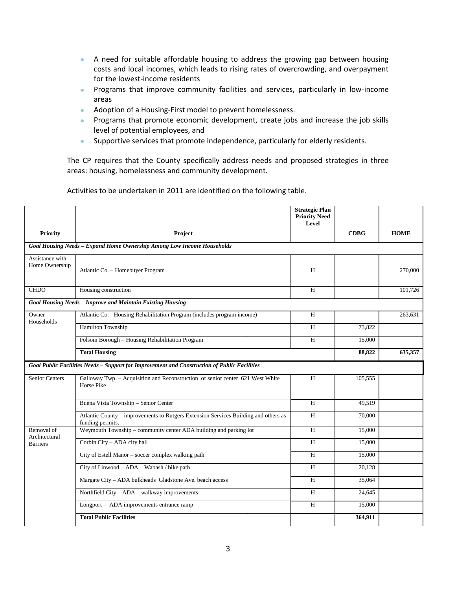- A need for suitable affordable housing to address the growing gap between housing costs and local incomes, which leads to rising rates of overcrowding, and overpayment for the lowest-income residents
- Programs that improve community facilities and services, particularly in low-income areas
- Adoption of a Housing-First model to prevent homelessness.  $\bullet$
- Programs that promote economic development, create jobs and increase the job skills level of potential employees, and
- Supportive services that promote independence, particularly for elderly residents.  $\bullet$

The CP requires that the County specifically address needs and proposed strategies in three areas: housing, homelessness and community development.

**Strategic Plan Priority Need Level Priority Project CDBG HOME** *Goal Housing Needs – Expand Home Ownership Among Low Income Households* Assistance with Home Ownership Atlantic Co. – Homebuyer Program de Corresponding to the Corresponding to the Corresponding to the Corresponding to the 270,000  $\mu$ CHDO Housing construction H 101,726 *Goal Housing Needs – Improve and Maintain Existing Housing* **Owner** Households Atlantic Co. - Housing Rehabilitation Program (includes program income) H 263,631 Hamilton Township 73,822 Folsom Borough – Housing Rehabilitation Program H 15,000 **Total Housing 88,822 635,357**  *Goal Public Facilities Needs – Support for Improvement and Construction of Public Facilities* Senior Centers Galloway Twp. – Acquisition and Reconstruction of senior center 621 West White Horse Pike H 105,555 Buena Vista Township – Senior Center H 49,519 Atlantic County – improvements to Rutgers Extension Services Building and others as funding permits. H 70,000 Removal of Architectural Barriers Weymouth Township – community center ADA building and parking lot H 15,000 Corbin City – ADA city hall 15,000 City of Estell Manor – soccer complex walking path H 15,000 City of Linwood – ADA – Wabash / bike path H 20,128 Margate City – ADA bulkheads Gladstone Ave. beach access H 35,064 Northfield City – ADA – walkway improvements H 24,645 Longport – ADA improvements entrance ramp H 15,000 **Total Public Facilities 364,911**

Activities to be undertaken in 2011 are identified on the following table.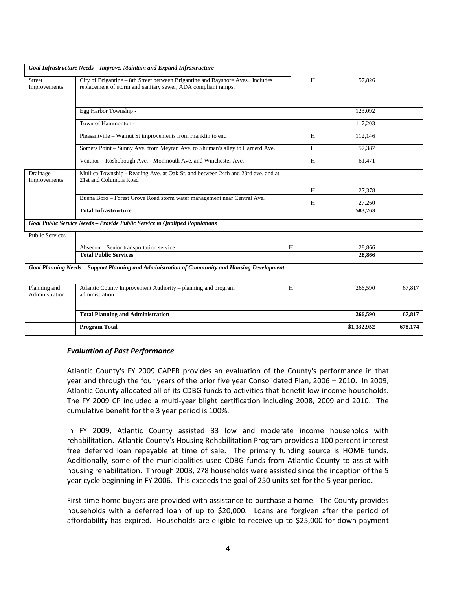|                                | Goal Infrastructure Needs - Improve, Maintain and Expand Infrastructure                                                                         |        |             |         |
|--------------------------------|-------------------------------------------------------------------------------------------------------------------------------------------------|--------|-------------|---------|
| <b>Street</b><br>Improvements  | City of Brigantine - 8th Street between Brigantine and Bayshore Aves. Includes<br>replacement of storm and sanitary sewer, ADA compliant ramps. | 57,826 |             |         |
|                                | Egg Harbor Township -                                                                                                                           |        | 123,092     |         |
|                                | Town of Hammonton -                                                                                                                             |        | 117,203     |         |
|                                | Pleasantville - Walnut St improvements from Franklin to end                                                                                     | H      | 112,146     |         |
|                                | Somers Point - Sunny Ave. from Meyran Ave. to Shuman's alley to Harnerd Ave.                                                                    | H      | 57,387      |         |
|                                | Ventnor - Rosbobough Ave. - Monmouth Ave. and Winchester Ave.                                                                                   | H      | 61,471      |         |
| Drainage<br>Improvements       | Mullica Township - Reading Ave. at Oak St. and between 24th and 23rd ave. and at<br>21st and Columbia Road                                      | H      | 27,378      |         |
|                                | Buena Boro - Forest Grove Road storm water management near Central Ave.                                                                         | H      | 27,260      |         |
|                                | <b>Total Infrastructure</b>                                                                                                                     |        | 583,763     |         |
|                                | Goal Public Service Needs - Provide Public Service to Oualified Populations                                                                     |        |             |         |
| <b>Public Services</b>         |                                                                                                                                                 |        |             |         |
|                                | Absecon - Senior transportation service                                                                                                         | H      | 28,866      |         |
|                                | <b>Total Public Services</b>                                                                                                                    |        | 28,866      |         |
|                                | Goal Planning Needs - Support Planning and Administration of Community and Housing Development                                                  |        |             |         |
| Planning and<br>Administration | Atlantic County Improvement Authority – planning and program<br>administration                                                                  | H      | 266,590     | 67,817  |
|                                | <b>Total Planning and Administration</b>                                                                                                        |        | 266,590     | 67,817  |
|                                | <b>Program Total</b>                                                                                                                            |        | \$1,332,952 | 678,174 |

#### *Evaluation of Past Performance*

Atlantic County's FY 2009 CAPER provides an evaluation of the County's performance in that year and through the four years of the prior five year Consolidated Plan, 2006 – 2010. In 2009, Atlantic County allocated all of its CDBG funds to activities that benefit low income households. The FY 2009 CP included a multi-year blight certification including 2008, 2009 and 2010. The cumulative benefit for the 3 year period is 100%.

In FY 2009, Atlantic County assisted 33 low and moderate income households with rehabilitation. Atlantic County's Housing Rehabilitation Program provides a 100 percent interest free deferred loan repayable at time of sale. The primary funding source is HOME funds. Additionally, some of the municipalities used CDBG funds from Atlantic County to assist with housing rehabilitation. Through 2008, 278 households were assisted since the inception of the 5 year cycle beginning in FY 2006. This exceeds the goal of 250 units set for the 5 year period.

First-time home buyers are provided with assistance to purchase a home. The County provides households with a deferred loan of up to \$20,000. Loans are forgiven after the period of affordability has expired. Households are eligible to receive up to \$25,000 for down payment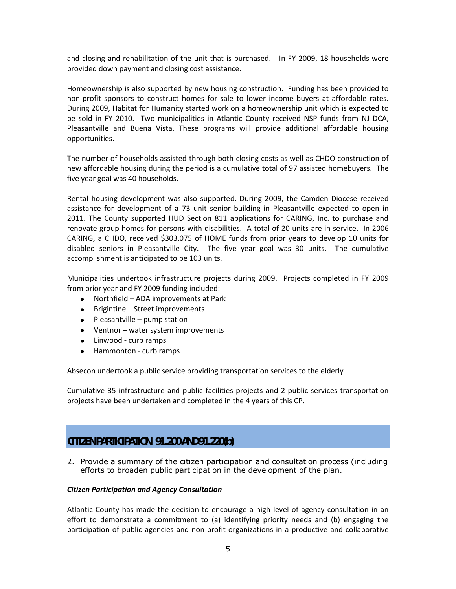and closing and rehabilitation of the unit that is purchased. In FY 2009, 18 households were provided down payment and closing cost assistance.

Homeownership is also supported by new housing construction. Funding has been provided to non-profit sponsors to construct homes for sale to lower income buyers at affordable rates. During 2009, Habitat for Humanity started work on a homeownership unit which is expected to be sold in FY 2010. Two municipalities in Atlantic County received NSP funds from NJ DCA, Pleasantville and Buena Vista. These programs will provide additional affordable housing opportunities.

The number of households assisted through both closing costs as well as CHDO construction of new affordable housing during the period is a cumulative total of 97 assisted homebuyers. The five year goal was 40 households.

Rental housing development was also supported. During 2009, the Camden Diocese received assistance for development of a 73 unit senior building in Pleasantville expected to open in 2011. The County supported HUD Section 811 applications for CARING, Inc. to purchase and renovate group homes for persons with disabilities. A total of 20 units are in service. In 2006 CARING, a CHDO, received \$303,075 of HOME funds from prior years to develop 10 units for disabled seniors in Pleasantville City. The five year goal was 30 units. The cumulative accomplishment is anticipated to be 103 units.

Municipalities undertook infrastructure projects during 2009. Projects completed in FY 2009 from prior year and FY 2009 funding included:

- Northfield ADA improvements at Park
- Brigintine Street improvements
- $\bullet$  Pleasantville pump station
- Ventnor water system improvements
- Linwood curb ramps
- Hammonton curb ramps  $\bullet$

Absecon undertook a public service providing transportation services to the elderly

Cumulative 35 infrastructure and public facilities projects and 2 public services transportation projects have been undertaken and completed in the 4 years of this CP.

# **CITIZEN PARTICIPATION 91.200 AND 91.220(b)**

2. Provide a summary of the citizen participation and consultation process (including efforts to broaden public participation in the development of the plan.

#### *Citizen Participation and Agency Consultation*

Atlantic County has made the decision to encourage a high level of agency consultation in an effort to demonstrate a commitment to (a) identifying priority needs and (b) engaging the participation of public agencies and non-profit organizations in a productive and collaborative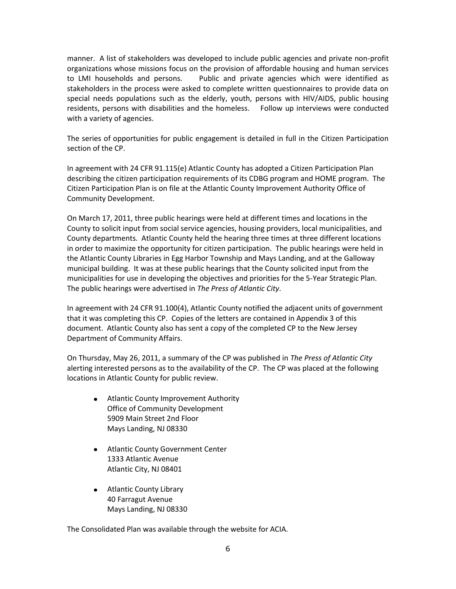manner. A list of stakeholders was developed to include public agencies and private non-profit organizations whose missions focus on the provision of affordable housing and human services to LMI households and persons. Public and private agencies which were identified as stakeholders in the process were asked to complete written questionnaires to provide data on special needs populations such as the elderly, youth, persons with HIV/AIDS, public housing residents, persons with disabilities and the homeless. Follow up interviews were conducted with a variety of agencies.

The series of opportunities for public engagement is detailed in full in the Citizen Participation section of the CP.

In agreement with 24 CFR 91.115(e) Atlantic County has adopted a Citizen Participation Plan describing the citizen participation requirements of its CDBG program and HOME program. The Citizen Participation Plan is on file at the Atlantic County Improvement Authority Office of Community Development.

On March 17, 2011, three public hearings were held at different times and locations in the County to solicit input from social service agencies, housing providers, local municipalities, and County departments. Atlantic County held the hearing three times at three different locations in order to maximize the opportunity for citizen participation. The public hearings were held in the Atlantic County Libraries in Egg Harbor Township and Mays Landing, and at the Galloway municipal building. It was at these public hearings that the County solicited input from the municipalities for use in developing the objectives and priorities for the 5-Year Strategic Plan. The public hearings were advertised in *The Press of Atlantic City*.

In agreement with 24 CFR 91.100(4), Atlantic County notified the adjacent units of government that it was completing this CP. Copies of the letters are contained in Appendix 3 of this document. Atlantic County also has sent a copy of the completed CP to the New Jersey Department of Community Affairs.

On Thursday, May 26, 2011, a summary of the CP was published in *The Press of Atlantic City* alerting interested persons as to the availability of the CP. The CP was placed at the following locations in Atlantic County for public review.

- Atlantic County Improvement Authority  $\bullet$ Office of Community Development 5909 Main Street 2nd Floor Mays Landing, NJ 08330
- Atlantic County Government Center 1333 Atlantic Avenue Atlantic City, NJ 08401
- Atlantic County Library 40 Farragut Avenue Mays Landing, NJ 08330

The Consolidated Plan was available through the website for ACIA.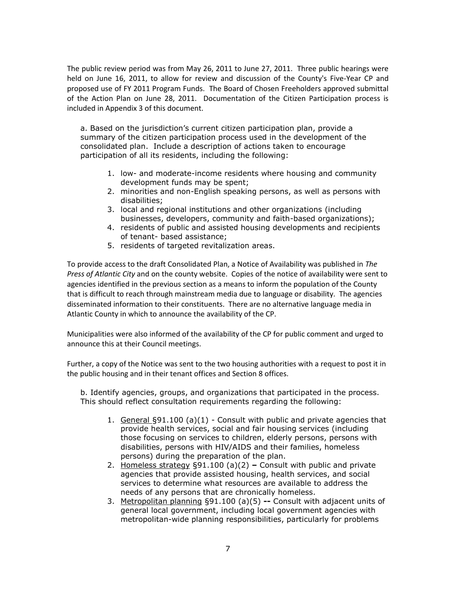The public review period was from May 26, 2011 to June 27, 2011. Three public hearings were held on June 16, 2011, to allow for review and discussion of the County's Five-Year CP and proposed use of FY 2011 Program Funds. The Board of Chosen Freeholders approved submittal of the Action Plan on June 28, 2011. Documentation of the Citizen Participation process is included in Appendix 3 of this document.

a. Based on the jurisdiction's current citizen participation plan, provide a summary of the citizen participation process used in the development of the consolidated plan. Include a description of actions taken to encourage participation of all its residents, including the following:

- 1. low- and moderate-income residents where housing and community development funds may be spent;
- 2. minorities and non-English speaking persons, as well as persons with disabilities;
- 3. local and regional institutions and other organizations (including businesses, developers, community and faith-based organizations);
- 4. residents of public and assisted housing developments and recipients of tenant- based assistance;
- 5. residents of targeted revitalization areas.

To provide access to the draft Consolidated Plan, a Notice of Availability was published in *The Press of Atlantic City* and on the county website. Copies of the notice of availability were sent to agencies identified in the previous section as a means to inform the population of the County that is difficult to reach through mainstream media due to language or disability. The agencies disseminated information to their constituents. There are no alternative language media in Atlantic County in which to announce the availability of the CP.

Municipalities were also informed of the availability of the CP for public comment and urged to announce this at their Council meetings.

Further, a copy of the Notice was sent to the two housing authorities with a request to post it in the public housing and in their tenant offices and Section 8 offices.

b. Identify agencies, groups, and organizations that participated in the process. This should reflect consultation requirements regarding the following:

- 1. General §91.100 (a)(1) Consult with public and private agencies that provide health services, social and fair housing services (including those focusing on services to children, elderly persons, persons with disabilities, persons with HIV/AIDS and their families, homeless persons) during the preparation of the plan.
- 2. Homeless strategy §91.100 (a)(2) **–** Consult with public and private agencies that provide assisted housing, health services, and social services to determine what resources are available to address the needs of any persons that are chronically homeless.
- 3. Metropolitan planning §91.100 (a)(5) **--** Consult with adjacent units of general local government, including local government agencies with metropolitan-wide planning responsibilities, particularly for problems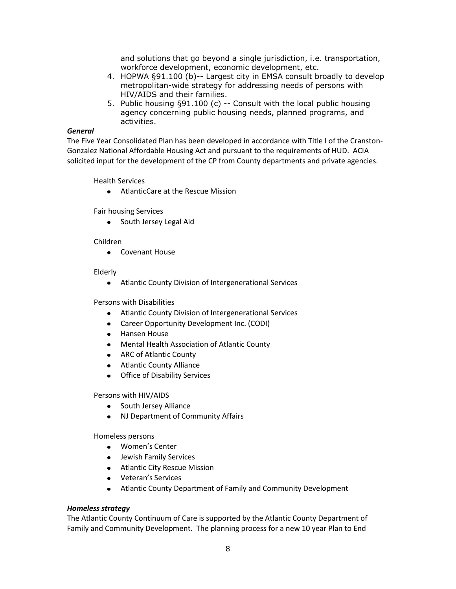and solutions that go beyond a single jurisdiction, i.e. transportation, workforce development, economic development, etc.

- 4. HOPWA §91.100 (b)-- Largest city in EMSA consult broadly to develop metropolitan-wide strategy for addressing needs of persons with HIV/AIDS and their families.
- 5. Public housing §91.100 (c) -- Consult with the local public housing agency concerning public housing needs, planned programs, and activities.

#### *General*

The Five Year Consolidated Plan has been developed in accordance with Title I of the Cranston-Gonzalez National Affordable Housing Act and pursuant to the requirements of HUD. ACIA solicited input for the development of the CP from County departments and private agencies.

Health Services

AtlanticCare at the Rescue Mission

Fair housing Services

• South Jersey Legal Aid

#### Children

Covenant House

#### Elderly

Atlantic County Division of Intergenerational Services  $\bullet$ 

#### Persons with Disabilities

- Atlantic County Division of Intergenerational Services
- Career Opportunity Development Inc. (CODI)
- Hansen House  $\bullet$  .
- Mental Health Association of Atlantic County
- ARC of Atlantic County
- $\bullet$ Atlantic County Alliance
- $\bullet$ Office of Disability Services

Persons with HIV/AIDS

- South Jersey Alliance
- NJ Department of Community Affairs

#### Homeless persons

- Women's Center
- Jewish Family Services
- Atlantic City Rescue Mission
- Veteran's Services
- Atlantic County Department of Family and Community Development

#### *Homeless strategy*

The Atlantic County Continuum of Care is supported by the Atlantic County Department of Family and Community Development. The planning process for a new 10 year Plan to End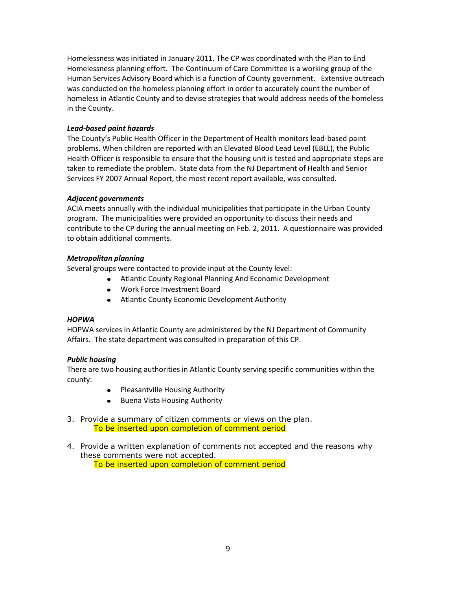Homelessness was initiated in January 2011. The CP was coordinated with the Plan to End Homelessness planning effort. The Continuum of Care Committee is a working group of the Human Services Advisory Board which is a function of County government. Extensive outreach was conducted on the homeless planning effort in order to accurately count the number of homeless in Atlantic County and to devise strategies that would address needs of the homeless in the County.

#### *Lead-based paint hazards*

The County's Public Health Officer in the Department of Health monitors lead-based paint problems. When children are reported with an Elevated Blood Lead Level (EBLL), the Public Health Officer is responsible to ensure that the housing unit is tested and appropriate steps are taken to remediate the problem. State data from the NJ Department of Health and Senior Services FY 2007 Annual Report, the most recent report available, was consulted.

#### *Adjacent governments*

ACIA meets annually with the individual municipalities that participate in the Urban County program. The municipalities were provided an opportunity to discuss their needs and contribute to the CP during the annual meeting on Feb. 2, 2011. A questionnaire was provided to obtain additional comments.

#### *Metropolitan planning*

Several groups were contacted to provide input at the County level:

- Atlantic County Regional Planning And Economic Development
- Work Force Investment Board
- Atlantic County Economic Development Authority

#### *HOPWA*

HOPWA services in Atlantic County are administered by the NJ Department of Community Affairs. The state department was consulted in preparation of this CP.

#### *Public housing*

There are two housing authorities in Atlantic County serving specific communities within the county:

- Pleasantville Housing Authority
- Buena Vista Housing Authority
- 3. Provide a summary of citizen comments or views on the plan. To be inserted upon completion of comment period
- 4. Provide a written explanation of comments not accepted and the reasons why these comments were not accepted. To be inserted upon completion of comment period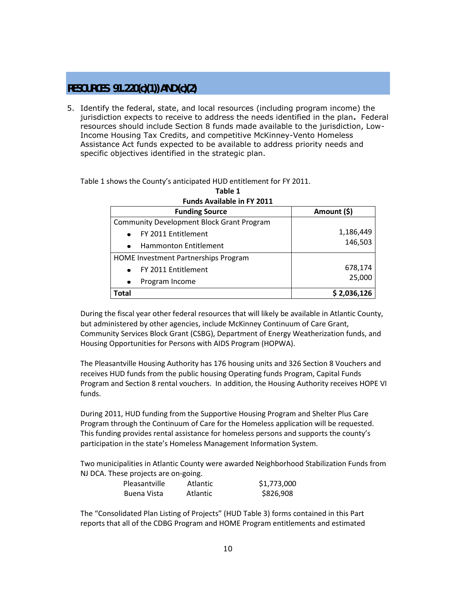# **RESOURCES 91.220(c)(1)) AND (c)(2)**

5. Identify the federal, state, and local resources (including program income) the jurisdiction expects to receive to address the needs identified in the plan**.** Federal resources should include Section 8 funds made available to the jurisdiction, Low-Income Housing Tax Credits, and competitive McKinney-Vento Homeless Assistance Act funds expected to be available to address priority needs and specific objectives identified in the strategic plan.

Table 1 shows the County's anticipated HUD entitlement for FY 2011.

| I GHQS AVGHQDIC III I I LOII                     |             |  |  |
|--------------------------------------------------|-------------|--|--|
| <b>Funding Source</b>                            | Amount (\$) |  |  |
| <b>Community Development Block Grant Program</b> |             |  |  |
| FY 2011 Entitlement<br>$\bullet$                 | 1,186,449   |  |  |
| Hammonton Entitlement<br>$\bullet$               | 146,503     |  |  |
| HOME Investment Partnerships Program             |             |  |  |
| FY 2011 Entitlement<br>$\bullet$                 | 678,174     |  |  |
| Program Income<br>$\bullet$                      | 25,000      |  |  |
| Total                                            | \$2,036,126 |  |  |

#### **Table 1 Funds Available in FY 2011**

During the fiscal year other federal resources that will likely be available in Atlantic County, but administered by other agencies, include McKinney Continuum of Care Grant, Community Services Block Grant (CSBG), Department of Energy Weatherization funds, and Housing Opportunities for Persons with AIDS Program (HOPWA).

The Pleasantville Housing Authority has 176 housing units and 326 Section 8 Vouchers and receives HUD funds from the public housing Operating funds Program, Capital Funds Program and Section 8 rental vouchers. In addition, the Housing Authority receives HOPE VI funds.

During 2011, HUD funding from the Supportive Housing Program and Shelter Plus Care Program through the Continuum of Care for the Homeless application will be requested. This funding provides rental assistance for homeless persons and supports the county's participation in the state's Homeless Management Information System.

Two municipalities in Atlantic County were awarded Neighborhood Stabilization Funds from NJ DCA. These projects are on-going.

| Pleasantville | <b>Atlantic</b> | \$1,773,000 |
|---------------|-----------------|-------------|
| Buena Vista   | Atlantic        | \$826,908   |

The "Consolidated Plan Listing of Projects" (HUD Table 3) forms contained in this Part reports that all of the CDBG Program and HOME Program entitlements and estimated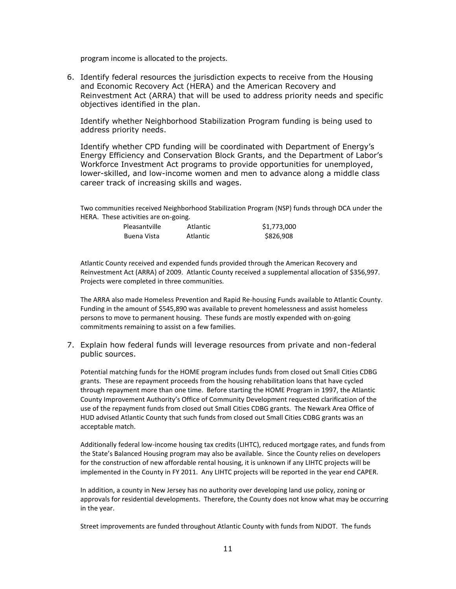program income is allocated to the projects.

6. Identify federal resources the jurisdiction expects to receive from the Housing and Economic Recovery Act (HERA) and the American Recovery and Reinvestment Act (ARRA) that will be used to address priority needs and specific objectives identified in the plan.

Identify whether Neighborhood Stabilization Program funding is being used to address priority needs.

Identify whether CPD funding will be coordinated with Department of Energy's Energy Efficiency and Conservation Block Grants, and the Department of Labor's Workforce Investment Act programs to provide opportunities for unemployed, lower-skilled, and low-income women and men to advance along a middle class career track of increasing skills and wages.

Two communities received Neighborhood Stabilization Program (NSP) funds through DCA under the HERA. These activities are on-going.

| Pleasantville | Atlantic | \$1,773,000 |
|---------------|----------|-------------|
| Buena Vista   | Atlantic | \$826,908   |

Atlantic County received and expended funds provided through the American Recovery and Reinvestment Act (ARRA) of 2009. Atlantic County received a supplemental allocation of \$356,997. Projects were completed in three communities.

The ARRA also made Homeless Prevention and Rapid Re-housing Funds available to Atlantic County. Funding in the amount of \$545,890 was available to prevent homelessness and assist homeless persons to move to permanent housing. These funds are mostly expended with on-going commitments remaining to assist on a few families.

7. Explain how federal funds will leverage resources from private and non-federal public sources.

Potential matching funds for the HOME program includes funds from closed out Small Cities CDBG grants. These are repayment proceeds from the housing rehabilitation loans that have cycled through repayment more than one time. Before starting the HOME Program in 1997, the Atlantic County Improvement Authority's Office of Community Development requested clarification of the use of the repayment funds from closed out Small Cities CDBG grants. The Newark Area Office of HUD advised Atlantic County that such funds from closed out Small Cities CDBG grants was an acceptable match.

Additionally federal low-income housing tax credits (LIHTC), reduced mortgage rates, and funds from the State's Balanced Housing program may also be available. Since the County relies on developers for the construction of new affordable rental housing, it is unknown if any LIHTC projects will be implemented in the County in FY 2011. Any LIHTC projects will be reported in the year end CAPER.

In addition, a county in New Jersey has no authority over developing land use policy, zoning or approvals for residential developments. Therefore, the County does not know what may be occurring in the year.

Street improvements are funded throughout Atlantic County with funds from NJDOT. The funds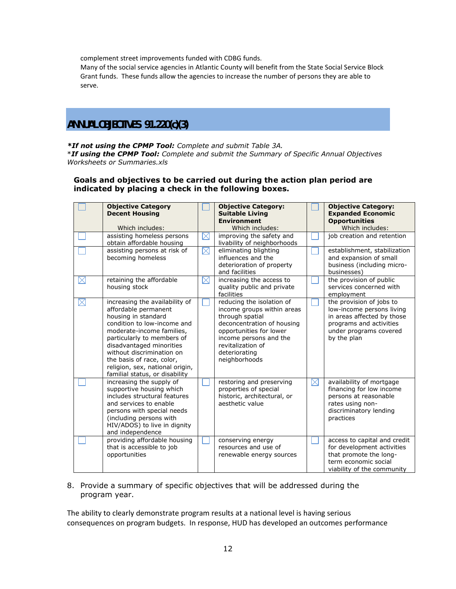complement street improvements funded with CDBG funds.

Many of the social service agencies in Atlantic County will benefit from the State Social Service Block Grant funds. These funds allow the agencies to increase the number of persons they are able to serve.

# **ANNUAL OBJECTIVES 91.220(c)(3)**

*\*If not using the CPMP Tool: Complete and submit Table 3A.*

\**If using the CPMP Tool: Complete and submit the Summary of Specific Annual Objectives Worksheets or Summaries.xls*

#### **Goals and objectives to be carried out during the action plan period are indicated by placing a check in the following boxes.**

|             | <b>Objective Category</b><br><b>Decent Housing</b><br>Which includes:                                                                                                                                                                                                                                                              |             | <b>Objective Category:</b><br><b>Suitable Living</b><br><b>Environment</b><br>Which includes:                                                                                                                        |             | <b>Objective Category:</b><br><b>Expanded Economic</b><br><b>Opportunities</b><br>Which includes:                                                       |
|-------------|------------------------------------------------------------------------------------------------------------------------------------------------------------------------------------------------------------------------------------------------------------------------------------------------------------------------------------|-------------|----------------------------------------------------------------------------------------------------------------------------------------------------------------------------------------------------------------------|-------------|---------------------------------------------------------------------------------------------------------------------------------------------------------|
|             | assisting homeless persons<br>obtain affordable housing                                                                                                                                                                                                                                                                            | $\boxtimes$ | improving the safety and<br>livability of neighborhoods                                                                                                                                                              |             | job creation and retention                                                                                                                              |
|             | assisting persons at risk of<br>becoming homeless                                                                                                                                                                                                                                                                                  | $\boxtimes$ | eliminating blighting<br>influences and the<br>deterioration of property<br>and facilities                                                                                                                           |             | establishment, stabilization<br>and expansion of small<br>business (including micro-<br>businesses)                                                     |
| $\boxtimes$ | retaining the affordable<br>housing stock                                                                                                                                                                                                                                                                                          | $\boxtimes$ | increasing the access to<br>quality public and private<br>facilities                                                                                                                                                 |             | the provision of public<br>services concerned with<br>employment                                                                                        |
| $\times$    | increasing the availability of<br>affordable permanent<br>housing in standard<br>condition to low-income and<br>moderate-income families,<br>particularly to members of<br>disadvantaged minorities<br>without discrimination on<br>the basis of race, color,<br>religion, sex, national origin,<br>familial status, or disability |             | reducing the isolation of<br>income groups within areas<br>through spatial<br>deconcentration of housing<br>opportunities for lower<br>income persons and the<br>revitalization of<br>deteriorating<br>neighborhoods |             | the provision of jobs to<br>low-income persons living<br>in areas affected by those<br>programs and activities<br>under programs covered<br>by the plan |
|             | increasing the supply of<br>supportive housing which<br>includes structural features<br>and services to enable<br>persons with special needs<br>(including persons with<br>HIV/ADOS) to live in dignity<br>and independence                                                                                                        |             | restoring and preserving<br>properties of special<br>historic, architectural, or<br>aesthetic value                                                                                                                  | $\boxtimes$ | availability of mortgage<br>financing for low income<br>persons at reasonable<br>rates using non-<br>discriminatory lending<br>practices                |
|             | providing affordable housing<br>that is accessible to job<br>opportunities                                                                                                                                                                                                                                                         |             | conserving energy<br>resources and use of<br>renewable energy sources                                                                                                                                                |             | access to capital and credit<br>for development activities<br>that promote the long-<br>term economic social<br>viability of the community              |

8. Provide a summary of specific objectives that will be addressed during the program year.

The ability to clearly demonstrate program results at a national level is having serious consequences on program budgets. In response, HUD has developed an outcomes performance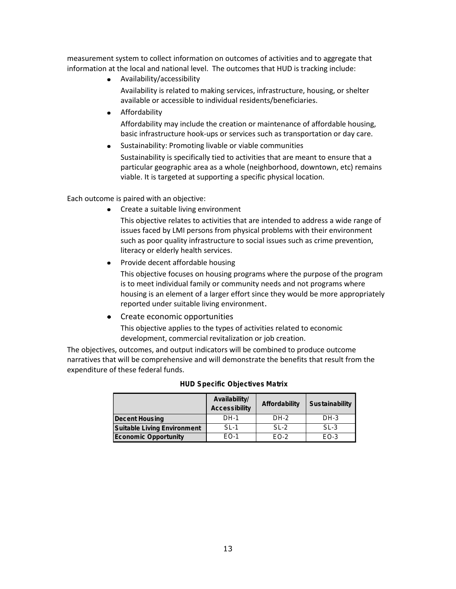measurement system to collect information on outcomes of activities and to aggregate that information at the local and national level. The outcomes that HUD is tracking include:

Availability/accessibility

Availability is related to making services, infrastructure, housing, or shelter available or accessible to individual residents/beneficiaries.

**•** Affordability

Affordability may include the creation or maintenance of affordable housing, basic infrastructure hook-ups or services such as transportation or day care.

Sustainability: Promoting livable or viable communities

Sustainability is specifically tied to activities that are meant to ensure that a particular geographic area as a whole (neighborhood, downtown, etc) remains viable. It is targeted at supporting a specific physical location.

Each outcome is paired with an objective:

• Create a suitable living environment

This objective relates to activities that are intended to address a wide range of issues faced by LMI persons from physical problems with their environment such as poor quality infrastructure to social issues such as crime prevention, literacy or elderly health services.

Provide decent affordable housing  $\bullet$ 

This objective focuses on housing programs where the purpose of the program is to meet individual family or community needs and not programs where housing is an element of a larger effort since they would be more appropriately reported under suitable living environment.

• Create economic opportunities This objective applies to the types of activities related to economic development, commercial revitalization or job creation.

The objectives, outcomes, and output indicators will be combined to produce outcome narratives that will be comprehensive and will demonstrate the benefits that result from the expenditure of these federal funds. **EXECUTE THE EXECUTIVE SERVED SHOWS.**<br>**HUD** S pecific Objectives Matrix

| HUD SPECING ODJECTIVES MATTIX |                                |                |                |  |  |
|-------------------------------|--------------------------------|----------------|----------------|--|--|
|                               | Availability/<br>Accessibility | Affordability  | Sustainability |  |  |
| Decent Housing                | $DH-1$                         | $DH-2$         | $DH-3$         |  |  |
| Suitable Living Environment   | $S1 - 1$                       | $SI-2$         | $S1-3$         |  |  |
| Economic Opportunity          | $F \cap -1$                    | $F \Omega - 2$ | $FO-3$         |  |  |
|                               |                                |                |                |  |  |

| <b>HUD Specific Objectives Matrix</b> |  |  |
|---------------------------------------|--|--|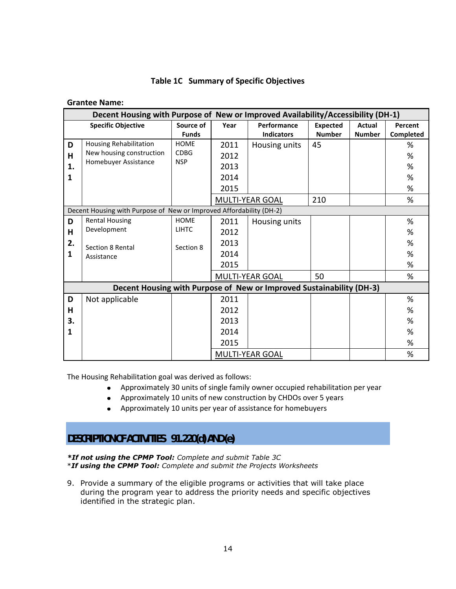|  | Table 1C Summary of Specific Objectives |  |  |
|--|-----------------------------------------|--|--|
|--|-----------------------------------------|--|--|

#### **Grantee Name:**

| Decent Housing with Purpose of New or Improved Availability/Accessibility (DH-1) |                                                                                   |                                          |                                      |                                                                      |                                  |                                |                       |
|----------------------------------------------------------------------------------|-----------------------------------------------------------------------------------|------------------------------------------|--------------------------------------|----------------------------------------------------------------------|----------------------------------|--------------------------------|-----------------------|
|                                                                                  | <b>Specific Objective</b>                                                         | Source of<br><b>Funds</b>                | Year                                 | Performance<br><b>Indicators</b>                                     | <b>Expected</b><br><b>Number</b> | <b>Actual</b><br><b>Number</b> | Percent<br>Completed  |
| D<br>н<br>1.<br>1                                                                | <b>Housing Rehabilitation</b><br>New housing construction<br>Homebuyer Assistance | <b>HOME</b><br><b>CDBG</b><br><b>NSP</b> | 2011<br>2012<br>2013<br>2014<br>2015 | Housing units                                                        | 45                               |                                | %<br>%<br>%<br>%<br>% |
|                                                                                  |                                                                                   |                                          |                                      | MULTI-YEAR GOAL                                                      | 210                              |                                | %                     |
|                                                                                  | Decent Housing with Purpose of New or Improved Affordability (DH-2)               |                                          |                                      |                                                                      |                                  |                                |                       |
| D                                                                                | <b>Rental Housing</b>                                                             | <b>HOME</b>                              | 2011                                 | Housing units                                                        |                                  |                                | %                     |
| H                                                                                | Development                                                                       | <b>LIHTC</b>                             | 2012                                 |                                                                      |                                  |                                | %                     |
| 2.                                                                               | Section 8 Rental                                                                  | Section 8                                | 2013                                 |                                                                      |                                  |                                | %                     |
| 1                                                                                | Assistance                                                                        |                                          | 2014                                 |                                                                      |                                  |                                | %                     |
|                                                                                  |                                                                                   |                                          | 2015                                 |                                                                      |                                  |                                | %                     |
|                                                                                  |                                                                                   |                                          |                                      | MULTI-YEAR GOAL                                                      | 50                               |                                | %                     |
|                                                                                  |                                                                                   |                                          |                                      | Decent Housing with Purpose of New or Improved Sustainability (DH-3) |                                  |                                |                       |
| D                                                                                | Not applicable                                                                    |                                          | 2011                                 |                                                                      |                                  |                                | %                     |
| н                                                                                |                                                                                   |                                          | 2012                                 |                                                                      |                                  |                                | %                     |
| 3.                                                                               |                                                                                   |                                          | 2013                                 |                                                                      |                                  |                                | %                     |
| 1                                                                                |                                                                                   |                                          | 2014                                 |                                                                      |                                  |                                | %                     |
|                                                                                  |                                                                                   |                                          | 2015                                 |                                                                      |                                  |                                | %                     |
|                                                                                  |                                                                                   |                                          |                                      | MULTI-YEAR GOAL                                                      |                                  |                                | %                     |

The Housing Rehabilitation goal was derived as follows:

- Approximately 30 units of single family owner occupied rehabilitation per year
- Approximately 10 units of new construction by CHDOs over 5 years
- Approximately 10 units per year of assistance for homebuyers

# **DESCRIPTION OF ACTIVITIES 91.220(d) AND (e)**

*\*If not using the CPMP Tool: Complete and submit Table 3C*

\**If using the CPMP Tool: Complete and submit the Projects Worksheets* 

9. Provide a summary of the eligible programs or activities that will take place during the program year to address the priority needs and specific objectives identified in the strategic plan.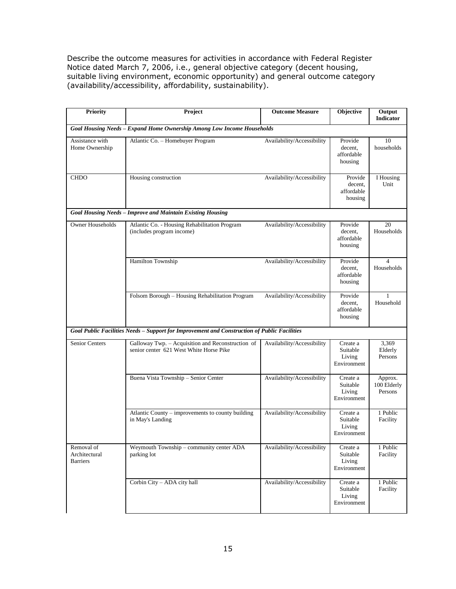Describe the outcome measures for activities in accordance with Federal Register Notice dated March 7, 2006, i.e., general objective category (decent housing, suitable living environment, economic opportunity) and general outcome category (availability/accessibility, affordability, sustainability).

| <b>Priority</b>                                | Project                                                                                      | <b>Outcome Measure</b>     | Objective                                     | Output<br><b>Indicator</b>          |
|------------------------------------------------|----------------------------------------------------------------------------------------------|----------------------------|-----------------------------------------------|-------------------------------------|
|                                                | Goal Housing Needs - Expand Home Ownership Among Low Income Households                       |                            |                                               |                                     |
| Assistance with<br>Home Ownership              | Atlantic Co. - Homebuyer Program                                                             | Availability/Accessibility | Provide<br>decent,<br>affordable<br>housing   | 10<br>households                    |
| <b>CHDO</b>                                    | Housing construction                                                                         | Availability/Accessibility | Provide<br>decent,<br>affordable<br>housing   | I Housing<br>Unit                   |
|                                                | Goal Housing Needs - Improve and Maintain Existing Housing                                   |                            |                                               |                                     |
| <b>Owner Households</b>                        | Atlantic Co. - Housing Rehabilitation Program<br>(includes program income)                   | Availability/Accessibility | Provide<br>decent,<br>affordable<br>housing   | 20<br>Households                    |
|                                                | Hamilton Township                                                                            | Availability/Accessibility | Provide<br>decent,<br>affordable<br>housing   | $\boldsymbol{\Delta}$<br>Households |
|                                                | Folsom Borough - Housing Rehabilitation Program                                              | Availability/Accessibility | Provide<br>decent,<br>affordable<br>housing   | 1<br>Household                      |
|                                                | Goal Public Facilities Needs - Support for Improvement and Construction of Public Facilities |                            |                                               |                                     |
| Senior Centers                                 | Galloway Twp. - Acquisition and Reconstruction of<br>senior center 621 West White Horse Pike | Availability/Accessibility | Create a<br>Suitable<br>Living<br>Environment | 3,369<br>Elderly<br>Persons         |
|                                                | Buena Vista Township - Senior Center                                                         | Availability/Accessibility | Create a<br>Suitable<br>Living<br>Environment | Approx.<br>100 Elderly<br>Persons   |
|                                                | Atlantic County – improvements to county building<br>in May's Landing                        | Availability/Accessibility | Create a<br>Suitable<br>Living<br>Environment | 1 Public<br>Facility                |
| Removal of<br>Architectural<br><b>Barriers</b> | Weymouth Township – community center ADA<br>parking lot                                      | Availability/Accessibility | Create a<br>Suitable<br>Living<br>Environment | 1 Public<br>Facility                |
|                                                | Corbin City - ADA city hall                                                                  | Availability/Accessibility | Create a<br>Suitable<br>Living<br>Environment | 1 Public<br>Facility                |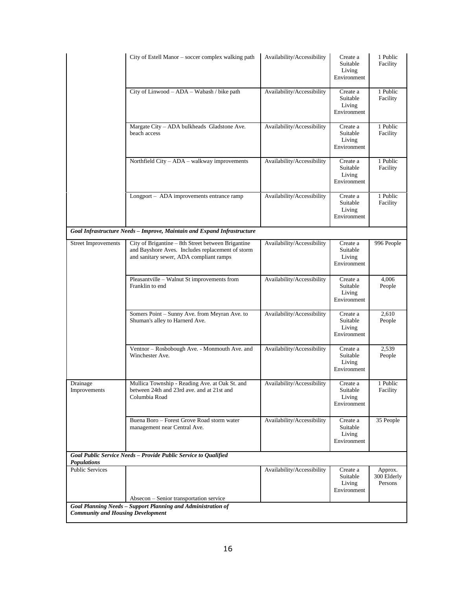|                                              | City of Estell Manor – soccer complex walking path                                                                                                | Availability/Accessibility | Create a<br>Suitable<br>Living<br>Environment | 1 Public<br>Facility              |
|----------------------------------------------|---------------------------------------------------------------------------------------------------------------------------------------------------|----------------------------|-----------------------------------------------|-----------------------------------|
|                                              | City of Linwood - ADA - Wabash / bike path                                                                                                        | Availability/Accessibility | Create a<br>Suitable<br>Living<br>Environment | 1 Public<br>Facility              |
|                                              | Margate City - ADA bulkheads Gladstone Ave.<br>beach access                                                                                       | Availability/Accessibility | Create a<br>Suitable<br>Living<br>Environment | 1 Public<br>Facility              |
|                                              | Northfield City - ADA - walkway improvements                                                                                                      | Availability/Accessibility | Create a<br>Suitable<br>Living<br>Environment | 1 Public<br>Facility              |
|                                              | Longport - ADA improvements entrance ramp                                                                                                         | Availability/Accessibility | Create a<br>Suitable<br>Living<br>Environment | 1 Public<br>Facility              |
|                                              | Goal Infrastructure Needs - Improve, Maintain and Expand Infrastructure                                                                           |                            |                                               |                                   |
| <b>Street Improvements</b>                   | City of Brigantine - 8th Street between Brigantine<br>and Bayshore Aves. Includes replacement of storm<br>and sanitary sewer, ADA compliant ramps | Availability/Accessibility | Create a<br>Suitable<br>Living<br>Environment | 996 People                        |
|                                              | Pleasantville - Walnut St improvements from<br>Franklin to end                                                                                    | Availability/Accessibility | Create a<br>Suitable<br>Living<br>Environment | 4,006<br>People                   |
|                                              | Somers Point - Sunny Ave. from Meyran Ave. to<br>Shuman's alley to Harnerd Ave.                                                                   | Availability/Accessibility | Create a<br>Suitable<br>Living<br>Environment | 2,610<br>People                   |
|                                              | Ventnor - Rosbobough Ave. - Monmouth Ave. and<br>Winchester Ave.                                                                                  | Availability/Accessibility | Create a<br>Suitable<br>Living<br>Environment | 2,539<br>People                   |
| Drainage<br>Improvements                     | Mullica Township - Reading Ave. at Oak St. and<br>between 24th and 23rd ave. and at 21st and<br>Columbia Road                                     | Availability/Accessibility | Create a<br>Suitable<br>Living<br>Environment | 1 Public<br>Facility              |
|                                              | Buena Boro - Forest Grove Road storm water<br>management near Central Ave.                                                                        | Availability/Accessibility | Create a<br>Suitable<br>Living<br>Environment | 35 People                         |
|                                              | Goal Public Service Needs - Provide Public Service to Qualified                                                                                   |                            |                                               |                                   |
| <b>Populations</b><br><b>Public Services</b> |                                                                                                                                                   | Availability/Accessibility | Create a<br>Suitable<br>Living<br>Environment | Approx.<br>300 Elderly<br>Persons |
|                                              | Absecon - Senior transportation service                                                                                                           |                            |                                               |                                   |
| <b>Community and Housing Development</b>     | Goal Planning Needs - Support Planning and Administration of                                                                                      |                            |                                               |                                   |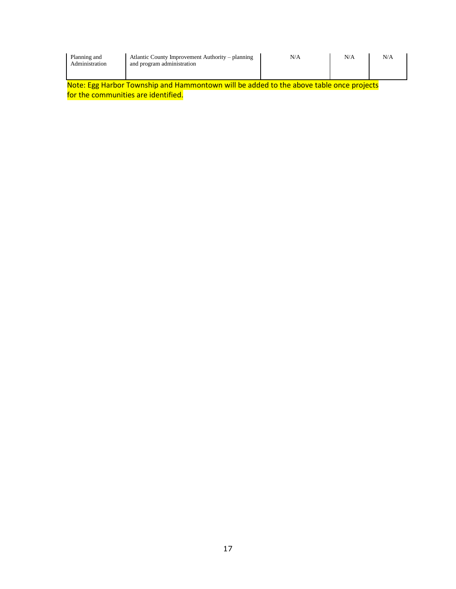| Planning and<br>Administration                                                          | Atlantic County Improvement Authority – planning<br>and program administration | N/A | N/A | N/A |  |  |
|-----------------------------------------------------------------------------------------|--------------------------------------------------------------------------------|-----|-----|-----|--|--|
| Note: Egg Harbor Township and Hammontown will be added to the above table once projects |                                                                                |     |     |     |  |  |
| for the communities are identified.                                                     |                                                                                |     |     |     |  |  |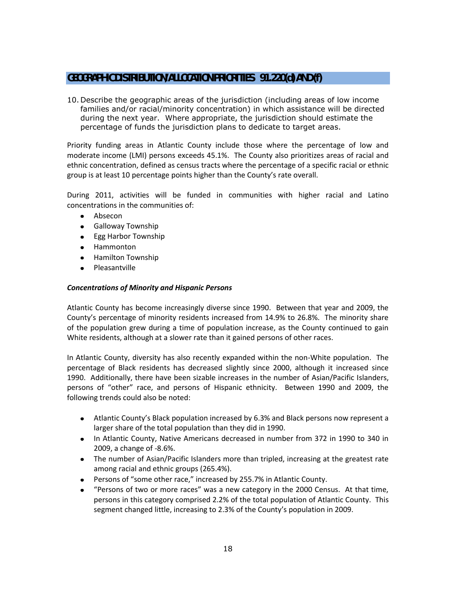# **GEOGRAPHIC DISTRIBUTION/ALLOCATION PRIORITIES 91.220(d) AND (f)**

10. Describe the geographic areas of the jurisdiction (including areas of low income families and/or racial/minority concentration) in which assistance will be directed during the next year. Where appropriate, the jurisdiction should estimate the percentage of funds the jurisdiction plans to dedicate to target areas.

Priority funding areas in Atlantic County include those where the percentage of low and moderate income (LMI) persons exceeds 45.1%. The County also prioritizes areas of racial and ethnic concentration, defined as census tracts where the percentage of a specific racial or ethnic group is at least 10 percentage points higher than the County's rate overall.

During 2011, activities will be funded in communities with higher racial and Latino concentrations in the communities of:

- Absecon
- **•** Galloway Township
- Egg Harbor Township
- Hammonton
- Hamilton Township  $\bullet$
- Pleasantville

#### *Concentrations of Minority and Hispanic Persons*

Atlantic County has become increasingly diverse since 1990. Between that year and 2009, the County's percentage of minority residents increased from 14.9% to 26.8%. The minority share of the population grew during a time of population increase, as the County continued to gain White residents, although at a slower rate than it gained persons of other races.

In Atlantic County, diversity has also recently expanded within the non-White population. The percentage of Black residents has decreased slightly since 2000, although it increased since 1990. Additionally, there have been sizable increases in the number of Asian/Pacific Islanders, persons of "other" race, and persons of Hispanic ethnicity. Between 1990 and 2009, the following trends could also be noted:

- Atlantic County's Black population increased by 6.3% and Black persons now represent a larger share of the total population than they did in 1990.
- In Atlantic County, Native Americans decreased in number from 372 in 1990 to 340 in 2009, a change of -8.6%.
- The number of Asian/Pacific Islanders more than tripled, increasing at the greatest rate among racial and ethnic groups (265.4%).
- Persons of "some other race," increased by 255.7% in Atlantic County.
- "Persons of two or more races" was a new category in the 2000 Census. At that time,  $\bullet$ persons in this category comprised 2.2% of the total population of Atlantic County. This segment changed little, increasing to 2.3% of the County's population in 2009.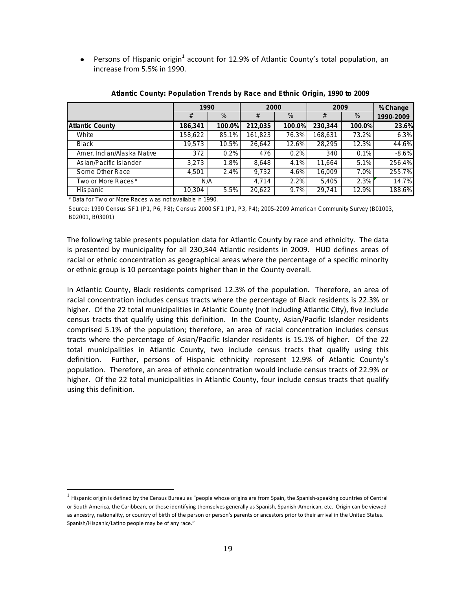Persons of Hispanic origin<sup>1</sup> account for 12.9% of Atlantic County's total population, an  $\bullet$ increase from 5.5% in 1990.

|                                                                                                                  | 1990    |        | 2000    |        | 2009    | %Change |           |
|------------------------------------------------------------------------------------------------------------------|---------|--------|---------|--------|---------|---------|-----------|
|                                                                                                                  | #       | $\%$   | #       | $\%$   | #       | $\%$    | 1990-2009 |
| <b>Atlantic County</b>                                                                                           | 186.341 | 100.0% | 212.035 | 100.0% | 230,344 | 100.0%  | 23.6%     |
| White                                                                                                            | 158,622 | 85.1%  | 161,823 | 76.3%  | 168,631 | 73.2%   | 6.3%      |
| <b>Black</b>                                                                                                     | 19.573  | 10.5%  | 26.642  | 12.6%  | 28.295  | 12.3%   | 44.6%     |
| Amer. Indian/Alaska Native                                                                                       | 372     | 0.2%   | 476     | 0.2%   | 340     | 0.1%    | $-8.6\%$  |
| As ian/Pacific Is lander                                                                                         | 3.273   | 1.8%   | 8.648   | 4.1%   | 11.664  | 5.1%    | 256.4%    |
| Some Other Race                                                                                                  | 4.501   | 2.4%   | 9.732   | 4.6%   | 16.009  | 7.0%    | 255.7%    |
| Two or More Races*                                                                                               | N/A     |        | 4.714   | 2.2%   | 5.405   | 2.3%    | 14.7%     |
| His panic                                                                                                        | 10.304  | 5.5%   | 20.622  | 9.7%   | 29.741  | 12.9%   | 188.6%    |
| * Data for Two or More Races was not available in 1990.                                                          |         |        |         |        |         |         |           |
| Source: 1990 Census SF1 (P1, P6, P8); Census 2000 SF1 (P1, P3, P4); 2005-2009 American Community Survey (B01003, |         |        |         |        |         |         |           |
| B02001, B03001)                                                                                                  |         |        |         |        |         |         |           |

Atlantic County: Population Trends by Race and Ethnic Origin, 1990 to 2009

 $\overline{a}$ 

*B 02016*<br>*B 02016 B 03001, B 03001, B 03001, B 03001* 

The following table presents population data for Atlantic County by race and ethnicity. The data is presented by municipality for all 230,344 Atlantic residents in 2009. HUD defines areas of racial or ethnic concentration as geographical areas where the percentage of a specific minority or ethnic group is 10 percentage points higher than in the County overall.

In Atlantic County, Black residents comprised 12.3% of the population. Therefore, an area of racial concentration includes census tracts where the percentage of Black residents is 22.3% or higher. Of the 22 total municipalities in Atlantic County (not including Atlantic City), five include census tracts that qualify using this definition. In the County, Asian/Pacific Islander residents comprised 5.1% of the population; therefore, an area of racial concentration includes census tracts where the percentage of Asian/Pacific Islander residents is 15.1% of higher. Of the 22 total municipalities in Atlantic County, two include census tracts that qualify using this definition. Further, persons of Hispanic ethnicity represent 12.9% of Atlantic County's population. Therefore, an area of ethnic concentration would include census tracts of 22.9% or higher. Of the 22 total municipalities in Atlantic County, four include census tracts that qualify using this definition.

 $^1$  Hispanic origin is defined by the Census Bureau as "people whose origins are from Spain, the Spanish-speaking countries of Central or South America, the Caribbean, or those identifying themselves generally as Spanish, Spanish-American, etc. Origin can be viewed as ancestry, nationality, or country of birth of the person or person's parents or ancestors prior to their arrival in the United States. Spanish/Hispanic/Latino people may be of any race."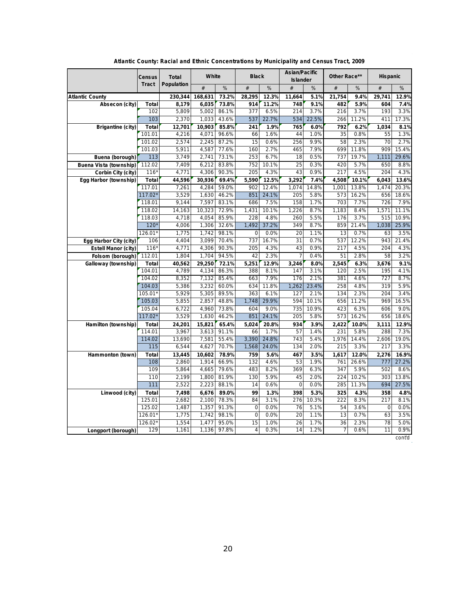|                        |                 | Atlantic County: Racial and Ethnic Concentrations by Municipality and Census Tract, 2009 |         |                            |              |              |                            |               |              |                   |              |                   |
|------------------------|-----------------|------------------------------------------------------------------------------------------|---------|----------------------------|--------------|--------------|----------------------------|---------------|--------------|-------------------|--------------|-------------------|
|                        | Census<br>Tract | Total<br>Population                                                                      | White   |                            | <b>Black</b> |              | As ian/Pacific<br>Islander |               | Other Race** |                   | His panic    |                   |
|                        |                 |                                                                                          | #       | $\%$                       | $\#$         | $\%$         | #                          | $\%$          | #            | $\%$              | $\#$         | $\%$              |
| Atlantic County        |                 | 230,344                                                                                  | 168,631 | 73.2%                      | 28,295       | 12.3%        | 11,664                     | 5.1%          | 21,754       | 9.4%              | 29,741       | 12.9%             |
| Absecon (city)         | Total           | 8,179                                                                                    | 6,035   | 73.8%                      | 914          | 11.2%        | 748                        | 9.1%          | 482          | 5.9%              | 604          | 7.4%              |
|                        | 102             | 5,809                                                                                    | 5,002   | 86.1%                      | 377          | 6.5%         | 214                        | 3.7%          | 216          | 3.7%              | 193          | 3.3%              |
|                        | 103             | 2,370                                                                                    | 1,033   | 43.6%                      | 537          | 22.7%        | 534                        | 22.5%         | 266          | 11.2%             | 411          | 17.3%             |
| Brigantine (city)      | Total           | 12,701                                                                                   | 10,903  | 85.8%                      | 241          | 1.9%         | 765                        | 6.0%          | 792          | 6.2%              | 1,034        | 8.1%              |
|                        | 101.01          | 4,216                                                                                    | 4,071   | 96.6%                      | 66           | 1.6%         | 44                         | 1.0%          | 35           | 0.8%              | 55           | 1.3%              |
|                        | 101.02          | 2,574                                                                                    | 2,245   | 87.2%                      | 15           | 0.6%         | 256                        | 9.9%          | 58           | 2.3%              | 70           | 2.7%              |
|                        | 101.03          | 5,911                                                                                    | 4,587   | 77.6%                      | 160          | 2.7%         | 465                        | 7.9%          | 699          | 11.8%             | 909          | 15.4%             |
| Buena (borough)        | 113             | 3,749                                                                                    | 2,741   | 73.1%                      | 253          | 6.7%         | 18                         | 0.5%          | 737          | 19.7%             | 1,111        | 29.6%             |
| Buena Vista (township) | 112.02          | 7,409                                                                                    | 6,212   | 83.8%                      | 752          | 10.1%        | 25                         | 0.3%          | 420          | 5.7%              | 650          | 8.8%              |
| Corbin City (city)     | $116*$          | 4,771                                                                                    | 4,306   | 90.3%                      | 205          | 4.3%         | 43                         | 0.9%          | 217          | 4.5%              | 204          | 4.3%              |
| Egg Harbor (township)  | Total           | 44,596                                                                                   | 30,936  | 69.4%                      | 5,590        | 12.5%        | 3,292                      | 7.4%          | 4,508        | 10.1%             | 6,043        | 13.6%             |
|                        | 117.01          | 7,261                                                                                    | 4,284   | 59.0%                      | 902          | 12.4%        | 1.074                      | 14.8%         | 1,001        | 13.8%             | 1,474        | 20.3%             |
|                        | $117.02*$       | 3,529                                                                                    | 1,630   | 46.2%                      | 851          | 24.1%        | 205                        | 5.8%          | 573          | 16.2%             | 656          | 18.6%             |
|                        | 118.01          | 9,144                                                                                    | 7,597   | 83.1%                      | 686          | 7.5%         | 158                        | 1.7%          | 703          | 7.7%              | 726          | 7.9%              |
|                        | 118.02          | 14,163                                                                                   | 10,323  | 72.9%                      | 1,431        | 10.1%        | 1,226                      | 8.7%          | 1,183        | 8.4%              | 1,571        | 11.1%             |
|                        | 118.03          | 4,718                                                                                    | 4,054   | 85.9%                      | 228          | 4.8%         | 260                        | 5.5%          | 176          | 3.7%              | 515          | 10.9%             |
|                        | 120'            | 4,006                                                                                    | 1,306   | 32.6%                      | 1,492        | 37.2%        | 349                        | 8.7%          | 859          | 21.4%             | 1,038        | 25.9%             |
|                        | 126.01          | 1,775                                                                                    | 1,742   | 98.1%                      | 0            | 0.0%         | 20                         | 1.1%          | 13           | 0.7%              | 63           | 3.5%              |
| Egg Harbor City (city) | 106             | 4,404                                                                                    | 3,099   | 70.4%                      | 737          | 16.7%        | 31                         | 0.7%          | 537          | 12.2%             | 943          | 21.4%             |
| Es tell Manor (city)   | $116*$          | 4,771                                                                                    | 4,306   | 90.3%                      | 205          | 4.3%         | 43                         | 0.9%          | 217          | 4.5%              | 204          | 4.3%              |
| Folsom (borough)       | 112.01          | 1,804                                                                                    | 1,704   | 94.5%                      | 42           | 2.3%         | $\overline{7}$             | 0.4%          | 51           | 2.8%              | 58           | 3.2%              |
| Galloway (township)    | Total           | 40,562                                                                                   | 29,250  | 72.1%                      | 5,251        | 12.9%        | 3,246                      | 8.0%          | 2,545        | 6.3%              | 3,676        | 9.1%              |
|                        | 104.01          | 4,789                                                                                    | 4,134   | 86.3%                      | 388          | 8.1%         | 147                        | 3.1%          | 120          | 2.5%              | 195          | 4.1%              |
|                        | 104.02          | 8,352                                                                                    | 7,132   | 85.4%                      | 663          | 7.9%         | 176                        | 2.1%          | 381          | 4.6%              | 727          | 8.7%              |
|                        | 104.03          | 5,386                                                                                    | 3,232   | 60.0%                      | 634          | 11.8%        | 1,262                      | 23.4%         | 258          | 4.8%              | 319          | 5.9%              |
|                        | $105.01*$       | 5,929                                                                                    | 5,305   | 89.5%                      | 363          | 6.1%         | 127                        | 2.1%          | 134          | 2.3%              | 204          | 3.4%              |
|                        | 105.03          | 5,855                                                                                    | 2,857   | 48.8%                      | 1,748        | 29.9%        | 594                        | 10.1%         | 656          | 11.2%             | 969          | 16.5%             |
|                        | 105.04          | 6,722                                                                                    | 4,960   | 73.8%                      | 604          | 9.0%         | 735                        | 10.9%         | 423          | 6.3%              | 606          | 9.0%              |
|                        | $117.02*$       | 3,529                                                                                    | 1,630   | 46.2%                      | 851          | 24.1%        | 205                        | 5.8%          | 573          | 16.2%             | 656          | 18.6%             |
| Hamilton (township)    | Total           | 24,201                                                                                   | 15,821  | 65.4%                      | 5,024        | 20.8%        | 934                        | 3.9%          | 2,422        | 10.0%             | 3,111        | 12.9%             |
|                        | 114.01          | 3,967                                                                                    | 3,613   | 91.1%                      | 66           | 1.7%         | 57                         | 1.4%          | 231          | 5.8%              | 288          | 7.3%              |
|                        | 114.02          | 13,690                                                                                   | 7,581   | 55.4%                      | 3,390        | 24.8%        | 743                        | 5.4%          | 1,976        | 14.4%             | 2,606        | 19.0%             |
|                        | 115             | 6,544                                                                                    | 4,627   | 70.7%                      | 1,568        | 24.0%        | 134                        | 2.0%          | 215          | 3.3%              | 217          | 3.3%              |
| Hammonton (town)       | Total           | 13,445                                                                                   | 10,602  | 78.9%                      | 759<br>132   | 5.6%         | 467<br>53                  | 3.5%<br>1.9%  | 1,617        | 12.0%             | 2,276        | 16.9%             |
|                        | 108<br>109      | 2,860                                                                                    | 1,914   | 66.9%<br>79.6%             |              | 4.6%         |                            | 6.3%          | 761          | 26.6%             | 777          | 27.2%             |
|                        | 110             | 5,864<br>2,199                                                                           | 4,665   | 1,800 81.9%                | 483          | 8.2%<br>5.9% | 369                        |               | 347          | 5.9%<br>224 10.2% | 502          | 8.6%<br>303 13.8% |
|                        | 111             | 2,522                                                                                    |         | 88.1%                      | 130          |              | 45                         | 2.0%<br>0.0%  |              | 11.3%             |              | 27.5%             |
|                        |                 |                                                                                          | 2,223   |                            | 14<br>99     | 0.6%         | $\circ$                    |               | 285          |                   | 694          |                   |
| Linwood (city)         | Total<br>125.01 | 7,498<br>2,682                                                                           |         | 6,676 89.0%<br>2,100 78.3% | 84           | 1.3%<br>3.1% | 398<br>276                 | 5.3%<br>10.3% | 325<br>222   | 4.3%<br>8.3%      | 358<br>217   | 4.8%<br>8.1%      |
|                        | 125.02          | 1,487                                                                                    | 1,357   | 91.3%                      | $\mathbf 0$  | 0.0%         | 76                         | 5.1%          | 54           | 3.6%              | $\mathbf{0}$ | 0.0%              |
|                        | $126.01*$       | 1,775                                                                                    | 1,742   | 98.1%                      | $\mathbf{0}$ | 0.0%         | 20                         | 1.1%          | 13           | 0.7%              | 63           | 3.5%              |
|                        | $126.02*$       | 1,554                                                                                    | 1,477   | 95.0%                      | 15           | 1.0%         | 26                         | 1.7%          | 36           | 2.3%              | 78           | 5.0%              |
| Longport (borough)     | 129             | 1,161                                                                                    | 1,136   | 97.8%                      | 4            | 0.3%         | 14                         | 1.2%          |              | 0.6%              | 11           | 0.9%              |
|                        |                 |                                                                                          |         |                            |              |              |                            |               |              |                   |              | conťd             |

**Atlantic County: Racial and Ethnic Concentrations by Municipality and Census Tract, 2009**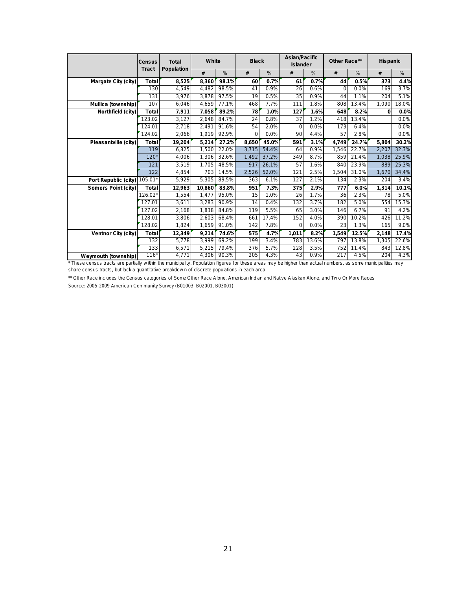|                                                                                                                                                               | Census    | Total<br>Population | White  |       | <b>Black</b> |       | As ian/Pac ific<br>Islander |       | Other Race** |       | His panic |       |
|---------------------------------------------------------------------------------------------------------------------------------------------------------------|-----------|---------------------|--------|-------|--------------|-------|-----------------------------|-------|--------------|-------|-----------|-------|
|                                                                                                                                                               | Tract     |                     | #      | %     | #            | %     | #                           | %     | #            | %     | #         | $\%$  |
| Margate City (city)                                                                                                                                           | Total     | 8,525               | 8,360  | 98.1% | 60           | 0.7%  | 61                          | 0.7%  | 44           | 0.5%  | 373       | 4.4%  |
|                                                                                                                                                               | 130       | 4,549               | 4,482  | 98.5% | 41           | 0.9%  | 26                          | 0.6%  | $\Omega$     | 0.0%  | 169       | 3.7%  |
|                                                                                                                                                               | 131       | 3,976               | 3,878  | 97.5% | 19           | 0.5%  | 35                          | 0.9%  | 44           | 1.1%  | 204       | 5.1%  |
| Mullica (township)                                                                                                                                            | 107       | 6,046               | 4,659  | 77.1% | 468          | 7.7%  | 111                         | 1.8%  | 808          | 13.4% | 1.090     | 18.0% |
| Northfield (city)                                                                                                                                             | Total     | 7,911               | 7,058  | 89.2% | 78           | 1.0%  | 127                         | 1.6%  | 648          | 8.2%  | $\Omega$  | 0.0%  |
|                                                                                                                                                               | 123.02    | 3,127               | 2,648  | 84.7% | 24           | 0.8%  | 37                          | 1.2%  | 418          | 13.4% |           | 0.0%  |
|                                                                                                                                                               | 124.01    | 2,718               | 2,491  | 91.6% | 54           | 2.0%  | $\mathbf 0$                 | 0.0%  | 173          | 6.4%  |           | 0.0%  |
|                                                                                                                                                               | 124.02    | 2,066               | 1,919  | 92.9% | $\Omega$     | 0.0%  | 90                          | 4.4%  | 57           | 2.8%  |           | 0.0%  |
| Pleasantville (city)                                                                                                                                          | Total     | 19,204              | 5,214  | 27.2% | 8,650        | 45.0% | 591                         | 3.1%  | 4,749        | 24.7% | 5,804     | 30.2% |
|                                                                                                                                                               | 119       | 6,825               | 1.500  | 22.0% | 3.715        | 54.4% | 64                          | 0.9%  | 1,546        | 22.7% | 2,207     | 32.3% |
|                                                                                                                                                               | $120*$    | 4,006               | 1,306  | 32.6% | 1.492        | 37.2% | 349                         | 8.7%  | 859          | 21.4% | 1.038     | 25.9% |
|                                                                                                                                                               | 121       | 3,519               | 1.705  | 48.5% | 917          | 26.1% | 57                          | 1.6%  | 840          | 23.9% | 889       | 25.3% |
|                                                                                                                                                               | 122       | 4,854               | 703    | 14.5% | 2,526        | 52.0% | 121                         | 2.5%  | 1,504        | 31.0% | 1,670     | 34.4% |
| Port Republic (city)                                                                                                                                          | 105.01*   | 5,929               | 5,305  | 89.5% | 363          | 6.1%  | 127                         | 2.1%  | 134          | 2.3%  | 204       | 3.4%  |
| Somers Point (city)                                                                                                                                           | Total     | 12,963              | 10,860 | 83.8% | 951          | 7.3%  | 375                         | 2.9%  | 777          | 6.0%  | 1,314     | 10.1% |
|                                                                                                                                                               | $126.02*$ | 1,554               | 1.477  | 95.0% | 15           | 1.0%  | 26                          | 1.7%  | 36           | 2.3%  | 78        | 5.0%  |
|                                                                                                                                                               | 127.01    | 3,611               | 3,283  | 90.9% | 14           | 0.4%  | 132                         | 3.7%  | 182          | 5.0%  | 554       | 15.3% |
|                                                                                                                                                               | 127.02    | 2,168               | 1,838  | 84.8% | 119          | 5.5%  | 65                          | 3.0%  | 146          | 6.7%  | 91        | 4.2%  |
|                                                                                                                                                               | 128.01    | 3,806               | 2.603  | 68.4% | 661          | 17.4% | 152                         | 4.0%  | 390          | 10.2% | 426       | 11.2% |
|                                                                                                                                                               | 128.02    | 1,824               | 1,659  | 91.0% | 142          | 7.8%  | $\mathbf 0$                 | 0.0%  | 23           | 1.3%  | 165       | 9.0%  |
| Ventnor City (city)                                                                                                                                           | Total     | 12,349              | 9,214  | 74.6% | 575          | 4.7%  | 1,011                       | 8.2%  | 1,549        | 12.5% | 2,148     | 17.4% |
|                                                                                                                                                               | 132       | 5,778               | 3,999  | 69.2% | 199          | 3.4%  | 783                         | 13.6% | 797          | 13.8% | 1,305     | 22.6% |
|                                                                                                                                                               | 133       | 6,571               | 5,215  | 79.4% | 376          | 5.7%  | 228                         | 3.5%  | 752          | 11.4% | 843       | 12.8% |
| Weymouth (township)                                                                                                                                           | 116'      | 4.771               | 4.306  | 90.3% | 205          | 4.3%  | 43                          | 0.9%  | 217          | 4.5%  | 204       | 4.3%  |
| * These census tracts are partially within the municipality. Population figures for these areas may be higher than actual numbers, as some municipalities may |           |                     |        |       |              |       |                             |       |              |       |           |       |
| share census tracts, but lack a quantitative breakdown of discrete populations in each area.                                                                  |           |                     |        |       |              |       |                             |       |              |       |           |       |

<sup>\*</sup>These census tracts are partially within the municipality. Population figures that the census tracts, but lack a quantitative breakdown of discrete population<br>\*\* Other Race includes the Census categories of Some Other R Weymouth (township) 116\* 4,771 4,306 90.3% 205 4.3% 43 0.9% 217 4.5%<br>
\*These census tracts are partially within the municipality. Population figures for these areas may be higher than actual numbers, as some munishare cens

share census tracts, but lack a quantitative breakdown of discrete populations in each area.<br>\*\* Other Race includes the Census categories of Some Other Race Alone, American Indian a Source: 2005-2009 American Community Sur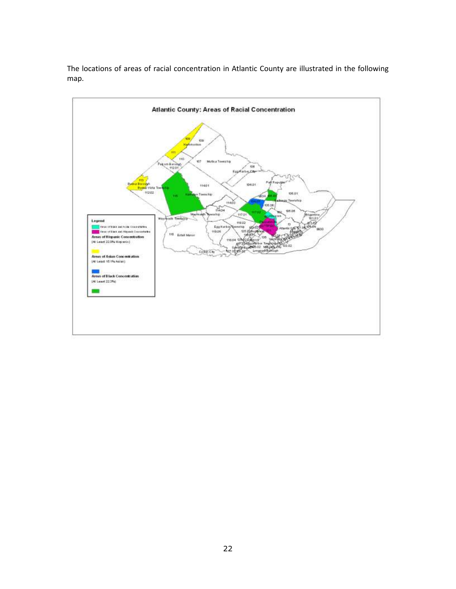The locations of areas of racial concentration in Atlantic County are illustrated in the following map.

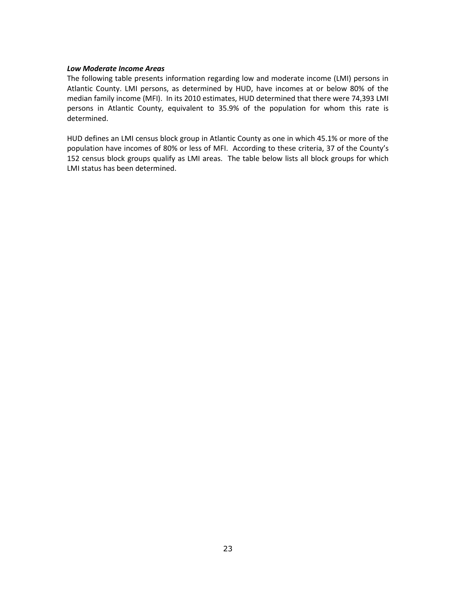#### *Low Moderate Income Areas*

The following table presents information regarding low and moderate income (LMI) persons in Atlantic County. LMI persons, as determined by HUD, have incomes at or below 80% of the median family income (MFI). In its 2010 estimates, HUD determined that there were 74,393 LMI persons in Atlantic County, equivalent to 35.9% of the population for whom this rate is determined.

HUD defines an LMI census block group in Atlantic County as one in which 45.1% or more of the population have incomes of 80% or less of MFI. According to these criteria, 37 of the County's 152 census block groups qualify as LMI areas. The table below lists all block groups for which LMI status has been determined.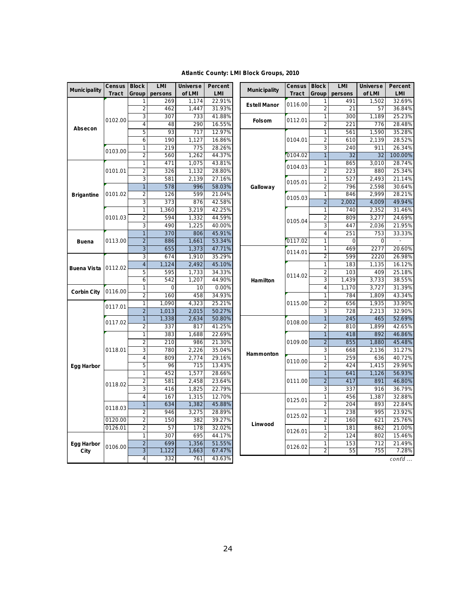|                     |                 |                                          |                        |                    |                       | Atlantic County: LMI Block Groups, 2010 |                 |                       |                 |                    |                  |
|---------------------|-----------------|------------------------------------------|------------------------|--------------------|-----------------------|-----------------------------------------|-----------------|-----------------------|-----------------|--------------------|------------------|
|                     |                 |                                          |                        |                    |                       |                                         |                 |                       |                 |                    |                  |
| <b>Municipality</b> | Census<br>Tract | <b>Block</b><br>Group                    | <b>LMI</b><br>pers ons | Universe<br>of LMI | Percent<br><b>LMI</b> | Munic ipality                           | Census<br>Tract | <b>Block</b><br>Group | LMI<br>pers ons | Universe<br>of LMI | Percent<br>LMI   |
|                     |                 | 1                                        | 269                    | 1,174              | 22.91%                |                                         |                 | 1                     | 491             | 1,502              | 32.69%           |
|                     |                 | $\overline{2}$                           | 462                    | 1,447              | 31.93%                | Estell Manor                            | 0116.00         | $\overline{2}$        | 21              | 57                 | 36.84%           |
|                     |                 | 3                                        | 307                    | 733                | 41.88%                |                                         |                 | $\mathbf{1}$          | 300             | 1,189              | 25.23%           |
|                     | 0102.00         | $\overline{4}$                           | 48                     | 290                | 16.55%                | <b>Folsom</b>                           | 0112.01         | $\overline{c}$        | 221             | 776                | 28.48%           |
| Absecon             |                 | 5                                        | 93                     | 717                | 12.97%                |                                         |                 | $\mathbf{1}$          | 561             | 1.590              | 35.28%           |
|                     |                 | 6                                        | 190                    | 1,127              | 16.86%                |                                         | 0104.01         | $\overline{c}$        | 610             | 2,139              | 28.52%           |
|                     |                 | $\mathbf{1}$                             | 219                    | 775                | 28.26%                |                                         |                 | 3                     | 240             | 911                | 26.34%           |
|                     | 0103.00         | $\overline{2}$                           | 560                    | 1,262              | 44.37%                |                                         | 0104.02         | $\overline{1}$        | 32              | 32                 | 100.00%          |
|                     |                 | $\overline{1}$                           | 471                    | 1,075              | 43.81%                |                                         | 0104.03         | $\mathbf{1}$          | 865             | 3,010              | 28.74%           |
|                     | 0101.01         | $\overline{2}$                           | 326                    | 1,132              | 28.80%                |                                         |                 | $\overline{2}$        | 223             | 880                | 25.34%           |
|                     |                 | 3                                        | 581                    | 2,139              | 27.16%                |                                         | 0105.01         | $\mathbf{1}$          | 527             | 2,493              | 21.14%           |
|                     |                 | $\mathbf{1}$                             | 578                    | 996                | 58.03%                | Galloway                                |                 | $\overline{2}$        | 796             | 2,598              | 30.64%           |
| <b>Brigantine</b>   | 0101.02         | $\overline{c}$                           | 126                    | 599                | 21.04%                |                                         | 0105.03         | $\mathbf{1}$          | 846             | 2,999              | 28.21%           |
|                     |                 | 3                                        | 373                    | 876                | 42.58%                |                                         |                 | $\overline{2}$        | 2,002           | 4,009              | 49.94%           |
|                     |                 | $\mathbf{1}$                             | 1,360                  | 3,219              | 42.25%                |                                         |                 | 1                     | 740             | 2,352              | 31.46%           |
|                     | 0101.03         | 44.59%<br>$\overline{c}$<br>594<br>1,332 |                        | 0105.04            | $\overline{c}$        | 809                                     | 3,277           | 24.69%                |                 |                    |                  |
|                     |                 | 3                                        | 490                    | 1,225              | 40.00%                |                                         |                 | 3                     | 447             | 2,036              | 21.95%           |
|                     |                 | $\mathbf{1}$                             | 370                    | 806                | 45.91%                |                                         |                 | 4                     | 251             | 753                | 33.33%           |
| <b>Buena</b>        | 0113.00         | $\overline{2}$                           | 886                    | 1,661              | 53.34%                |                                         | 0117.02         | $\mathbf{1}$          | 0               | 0                  |                  |
|                     |                 | 3                                        | 655                    | 1,373              | 47.71%                |                                         | 0114.01         | 1                     | 469             | 2277               | 20.60%           |
|                     | 0112.02         | 3                                        | 674                    | 1,910              | 35.29%                |                                         |                 | 2                     | 599             | 2220               | 26.98%           |
| Buena Vista         |                 | $\overline{4}$                           | 1,124                  | 2,492              | 45.10%                |                                         |                 | $\mathbf{1}$          | 183             | 1,135              | 16.12%           |
|                     |                 | 5                                        | 595                    | 1,733              | 34.33%                |                                         | 0114.02         | $\overline{c}$        | 103             | 409                | 25.18%           |
|                     |                 | 6                                        | 542                    | 1,207              | 44.90%                | Hamilton                                |                 | 3                     | 1,439           | 3,733              | 38.55%           |
| Corbin City         | 0116.00         | $\mathbf{1}$                             | $\mathbf 0$            | 10                 | 0.00%                 |                                         |                 | $\overline{4}$        | 1,170           | 3,727              | 31.39%           |
|                     |                 | $\overline{c}$                           | 160                    | 458                | 34.93%                |                                         |                 | $\mathbf{1}$          | 784             | 1,809              | 43.34%<br>33.90% |
|                     | 0117.01         | $\mathbf 1$<br>$\overline{2}$            | 1,090<br>1,013         | 4,323<br>2,015     | 25.21%<br>50.27%      |                                         | 0115.00         | $\overline{c}$<br>3   | 656<br>728      | 1,935<br>2,213     | 32.90%           |
|                     |                 | $\mathbf{1}$                             | 1,338                  | 2,634              | 50.80%                |                                         |                 | $\mathbf{1}$          | 245             | 465                | 52.69%           |
|                     | 0117.02         | $\overline{c}$                           | 337                    | 817                | 41.25%                |                                         | 0108.00         | $\overline{2}$        | 810             | 1,899              | 42.65%           |
|                     |                 | $\mathbf{1}$                             | 383                    | 1,688              | 22.69%                |                                         |                 | $\mathbf{1}$          | 418             | 892                | 46.86%           |
|                     |                 | $\overline{2}$                           | 210                    | 986                | 21.30%                |                                         | 0109.00         | $\overline{2}$        | 855             | 1,880              | 45.48%           |
|                     | 0118.01         | 3                                        | 780                    | 2,226              | 35.04%                |                                         |                 | 3                     | 668             | 2,136              | 31.27%           |
|                     |                 | $\sqrt{4}$                               | 809                    | 2,774              | 29.16%                | Hammonton                               |                 | $\mathbf{1}$          | 259             | 636                | 40.72%           |
| Egg Harbor          |                 | 5                                        | 96                     | 715                | 13.43%                |                                         | 0110.00         | $\overline{2}$        | 424             | 1,415              | 29.96%           |
|                     |                 | $\mathbf{1}$                             | 452                    | 1,577              | 28.66%                |                                         |                 | $\overline{1}$        | 641             | 1,126              | 56.93%           |
|                     |                 | 2                                        | 581                    | 2,458              | 23.64%                |                                         | 0111.00         | $\overline{2}$        | 417             | 891                | 46.80%           |
|                     | 0118.02         | $\overline{3}$                           | 416                    | 1,825              | 22.79%                |                                         |                 | $\overline{3}$        | 337             | 916                | 36.79%           |
|                     |                 | 4                                        | 167                    | 1,315              | 12.70%                |                                         |                 | $\mathbf{1}$          | 456             | 1,387              | 32.88%           |
|                     |                 | $\mathbf{1}$                             | 634                    | 1,382              | 45.88%                |                                         | 0125.01         | $\overline{2}$        | 204             | 893                | 22.84%           |
|                     | 0118.03         | $\overline{2}$                           | 946                    | 3,275              | 28.89%                |                                         |                 | $\mathbf{1}$          | 238             | 995                | 23.92%           |
|                     | 0120.00         | $\overline{c}$                           | 150                    | 382                | 39.27%                |                                         | 0125.02         | $\overline{c}$        | 160             | 621                | 25.76%           |
|                     | 0126.01         | $\overline{c}$                           | 57                     | 178                | 32.02%                | Linwood                                 | 0126.01         | $\mathbf 1$           | 181             | 862                | 21.00%           |
|                     |                 | $\mathbf{1}$                             | 307                    | 695                | 44.17%                |                                         |                 | $\overline{c}$        | 124             | 802                | 15.46%           |
| Egg Harbor          | 0106.00         | $\sqrt{2}$                               | 699                    | 1,356              | 51.55%                |                                         | 0126.02         | $\mathbf{1}$          | 153             | 712                | 21.49%           |
| City                |                 | $\mathfrak{Z}$                           | 1,122                  | 1,663              | 67.47%                |                                         |                 | 2                     | 55              | 755                | 7.28%            |
|                     |                 | 4                                        | 332                    | 761                | 43.63%                |                                         |                 |                       |                 |                    | $\cot d$         |

# **Atlantic County: L MI Block Groups, 2010**

24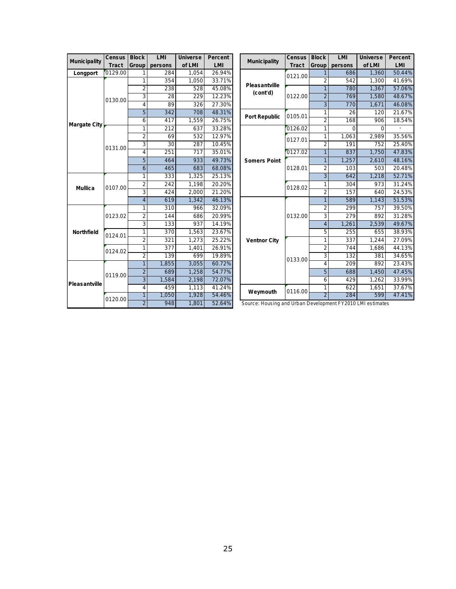| Munic ipality  | Census  | <b>Block</b>   | LMI      | Universe | Percent | Munic ipality                                              | Census  | <b>Block</b>   | LMI      | Universe | Percent |
|----------------|---------|----------------|----------|----------|---------|------------------------------------------------------------|---------|----------------|----------|----------|---------|
|                | Tract   | Group          | pers ons | of LMI   | LMI     |                                                            | Tract   | Group          | pers ons | of LMI   | LMI     |
| Longport       | 0129.00 | 1              | 284      | 1,054    | 26.94%  |                                                            | 0121.00 | $\mathbf{1}$   | 686      | 1,360    | 50.44%  |
|                |         | $\mathbf{1}$   | 354      | 1,050    | 33.71%  | Pleasantville                                              |         | $\overline{2}$ | 542      | 1.300    | 41.69%  |
|                |         | $\overline{2}$ | 238      | 528      | 45.08%  | (cont'd)                                                   |         | $\mathbf{1}$   | 780      | 1,367    | 57.06%  |
|                | 0130.00 | 3              | 28       | 229      | 12.23%  |                                                            | 0122.00 | $\overline{2}$ | 769      | 1.580    | 48.67%  |
|                |         | $\overline{4}$ | 89       | 326      | 27.30%  |                                                            |         | 3              | 770      | 1,671    | 46.08%  |
|                |         | 5              | 342      | 708      | 48.31%  | Port Republic                                              | 0105.01 | $\mathbf{1}$   | 26       | 120      | 21.67%  |
| Margate City   |         | 6              | 417      | 1,559    | 26.75%  |                                                            |         | $\overline{2}$ | 168      | 906      | 18.54%  |
|                |         | $\mathbf{1}$   | 212      | 637      | 33.28%  |                                                            | 0126.02 | $\mathbf{1}$   | $\Omega$ | $\Omega$ |         |
|                |         | $\overline{2}$ | 69       | 532      | 12.97%  |                                                            | 0127.01 | $\mathbf{1}$   | 1.063    | 2,989    | 35.56%  |
|                | 0131.00 | 3              | 30       | 287      | 10.45%  |                                                            |         | $\overline{2}$ | 191      | 752      | 25.40%  |
|                |         | $\overline{4}$ | 251      | 717      | 35.01%  |                                                            | 0127.02 | $\mathbf{1}$   | 837      | 1.750    | 47.83%  |
|                |         | $\overline{5}$ | 464      | 933      | 49.73%  | Somers Point                                               |         | $\mathbf{1}$   | 1,257    | 2,610    | 48.16%  |
|                |         | 6              | 465      | 683      | 68.08%  |                                                            | 0128.01 | $\overline{2}$ | 103      | 503      | 20.48%  |
|                | 0107.00 | 1              | 333      | 1,325    | 25.13%  |                                                            |         | $\overline{3}$ | 642      | 1,218    | 52.71%  |
| <b>Mullica</b> |         | $\overline{2}$ | 242      | 1.198    | 20.20%  |                                                            | 0128.02 | 1              | 304      | 973      | 31.24%  |
|                |         | 3              | 424      | 2.000    | 21.20%  |                                                            |         | $\overline{2}$ | 157      | 640      | 24.53%  |
|                |         | $\overline{4}$ | 619      | 1.342    | 46.13%  |                                                            |         | $\mathbf{1}$   | 589      | 1.143    | 51.53%  |
|                |         | 1              | 310      | 966      | 32.09%  |                                                            | 0132.00 | $\overline{2}$ | 299      | 757      | 39.50%  |
|                | 0123.02 | $\overline{2}$ | 144      | 686      | 20.99%  |                                                            |         | $\overline{3}$ | 279      | 892      | 31.28%  |
|                |         | 3              | 133      | 937      | 14.19%  |                                                            |         | $\overline{4}$ | 1.261    | 2,539    | 49.67%  |
| Northfield     | 0124.01 | 1              | 370      | 1,563    | 23.67%  |                                                            |         | 5              | 255      | 655      | 38.93%  |
|                |         | $\overline{2}$ | 321      | 1,273    | 25.22%  | Ventnor City                                               |         | $\mathbf{1}$   | 337      | 1,244    | 27.09%  |
|                | 0124.02 | $\mathbf{1}$   | 377      | 1,401    | 26.91%  |                                                            |         | $\overline{2}$ | 744      | 1,686    | 44.13%  |
|                |         | $\overline{2}$ | 139      | 699      | 19.89%  |                                                            | 0133.00 | 3              | 132      | 381      | 34.65%  |
|                |         | $\mathbf{1}$   | 1.855    | 3.055    | 60.72%  |                                                            |         | $\overline{4}$ | 709      | 892      | 23.43%  |
|                | 0119.00 | $\overline{2}$ | 689      | 1,258    | 54.77%  |                                                            |         | 5              | 688      | 1,450    | 47.45%  |
| Pleasantville  |         | $\overline{3}$ | 1,584    | 2,198    | 72.07%  |                                                            |         | 6              | 429      | 1,262    | 33.99%  |
|                |         | 4              | 459      | 1,113    | 41.24%  | Weymouth                                                   | 0116.00 | 1              | 622      | 1,651    | 37.67%  |
|                | 0120.00 | 1              | 1.050    | 1,928    | 54.46%  |                                                            |         |                | 284      | 599      | 47.41%  |
|                |         | $\overline{2}$ | 948      | 1,801    | 52.64%  | Source: Housing and Urban Development FY2010 LMI estimates |         |                |          |          |         |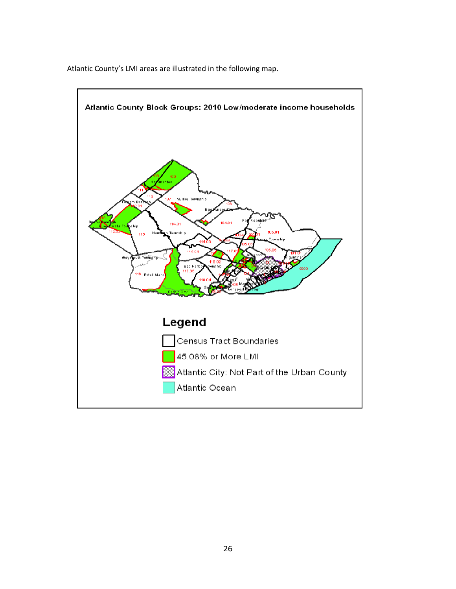

Atlantic County's LMI areas are illustrated in the following map.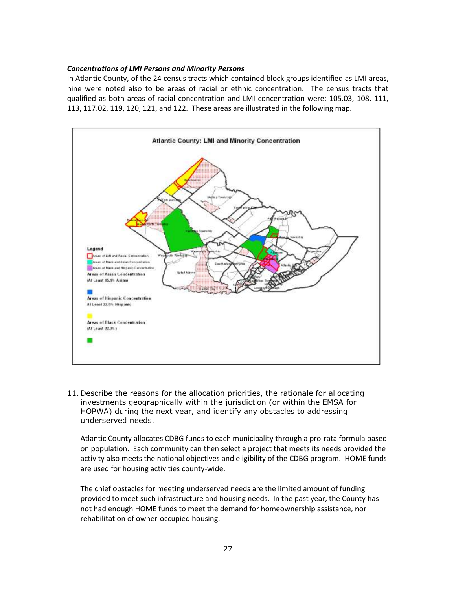#### *Concentrations of LMI Persons and Minority Persons*

In Atlantic County, of the 24 census tracts which contained block groups identified as LMI areas, nine were noted also to be areas of racial or ethnic concentration. The census tracts that qualified as both areas of racial concentration and LMI concentration were: 105.03, 108, 111, 113, 117.02, 119, 120, 121, and 122. These areas are illustrated in the following map.



11. Describe the reasons for the allocation priorities, the rationale for allocating investments geographically within the jurisdiction (or within the EMSA for HOPWA) during the next year, and identify any obstacles to addressing underserved needs.

Atlantic County allocates CDBG funds to each municipality through a pro-rata formula based on population. Each community can then select a project that meets its needs provided the activity also meets the national objectives and eligibility of the CDBG program. HOME funds are used for housing activities county-wide.

The chief obstacles for meeting underserved needs are the limited amount of funding provided to meet such infrastructure and housing needs. In the past year, the County has not had enough HOME funds to meet the demand for homeownership assistance, nor rehabilitation of owner-occupied housing.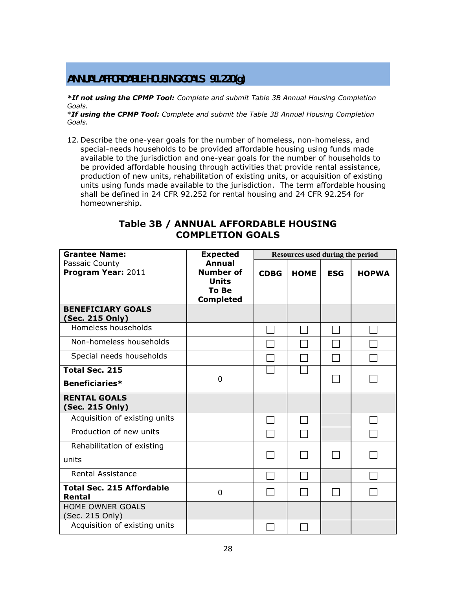# **ANNUAL AFFORDABLE HOUSING GOALS 91.220(g)**

*\*If not using the CPMP Tool: Complete and submit Table 3B Annual Housing Completion Goals.*

\**If using the CPMP Tool: Complete and submit the Table 3B Annual Housing Completion Goals.*

12. Describe the one-year goals for the number of homeless, non-homeless, and special-needs households to be provided affordable housing using funds made available to the jurisdiction and one-year goals for the number of households to be provided affordable housing through activities that provide rental assistance, production of new units, rehabilitation of existing units, or acquisition of existing units using funds made available to the jurisdiction. The term affordable housing shall be defined in 24 CFR 92.252 for rental housing and 24 CFR 92.254 for homeownership.

# **Table 3B / ANNUAL AFFORDABLE HOUSING COMPLETION GOALS**

| <b>Grantee Name:</b>                        | <b>Expected</b>                                                                       | Resources used during the period |             |            |              |  |  |  |
|---------------------------------------------|---------------------------------------------------------------------------------------|----------------------------------|-------------|------------|--------------|--|--|--|
| Passaic County<br>Program Year: 2011        | <b>Annual</b><br><b>Number of</b><br><b>Units</b><br><b>To Be</b><br><b>Completed</b> | <b>CDBG</b>                      | <b>HOME</b> | <b>ESG</b> | <b>HOPWA</b> |  |  |  |
| <b>BENEFICIARY GOALS</b><br>(Sec. 215 Only) |                                                                                       |                                  |             |            |              |  |  |  |
| Homeless households                         |                                                                                       |                                  |             |            |              |  |  |  |
| Non-homeless households                     |                                                                                       |                                  |             |            |              |  |  |  |
| Special needs households                    |                                                                                       |                                  |             |            |              |  |  |  |
| <b>Total Sec. 215</b>                       |                                                                                       |                                  |             |            |              |  |  |  |
| <b>Beneficiaries*</b>                       | $\Omega$                                                                              |                                  |             |            |              |  |  |  |
| <b>RENTAL GOALS</b><br>(Sec. 215 Only)      |                                                                                       |                                  |             |            |              |  |  |  |
| Acquisition of existing units               |                                                                                       |                                  |             |            |              |  |  |  |
| Production of new units                     |                                                                                       |                                  |             |            |              |  |  |  |
| Rehabilitation of existing<br>units         |                                                                                       |                                  |             |            |              |  |  |  |
| <b>Rental Assistance</b>                    |                                                                                       |                                  |             |            |              |  |  |  |
| <b>Total Sec. 215 Affordable</b><br>Rental  | 0                                                                                     |                                  |             |            |              |  |  |  |
| <b>HOME OWNER GOALS</b><br>(Sec. 215 Only)  |                                                                                       |                                  |             |            |              |  |  |  |
| Acquisition of existing units               |                                                                                       |                                  |             |            |              |  |  |  |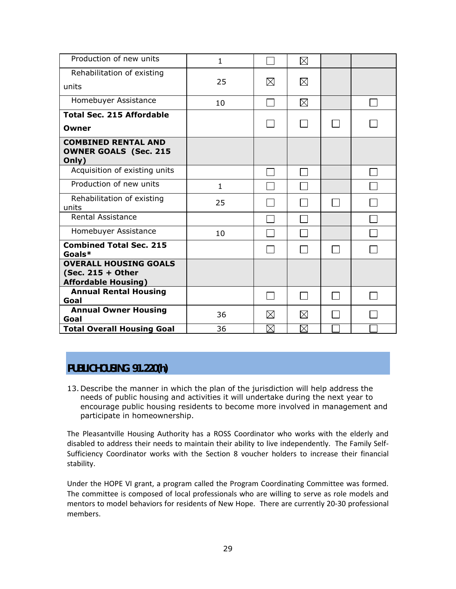| Production of new units                                                         | 1            |             | $\boxtimes$ |  |
|---------------------------------------------------------------------------------|--------------|-------------|-------------|--|
| Rehabilitation of existing                                                      |              |             |             |  |
| units                                                                           | 25           | $\boxtimes$ | $\boxtimes$ |  |
| Homebuyer Assistance                                                            | 10           |             | $\boxtimes$ |  |
| <b>Total Sec. 215 Affordable</b>                                                |              |             |             |  |
| Owner                                                                           |              |             |             |  |
| <b>COMBINED RENTAL AND</b><br><b>OWNER GOALS (Sec. 215</b><br>Only)             |              |             |             |  |
| Acquisition of existing units                                                   |              |             |             |  |
| Production of new units                                                         | $\mathbf{1}$ |             |             |  |
| Rehabilitation of existing<br>units                                             | 25           |             |             |  |
| <b>Rental Assistance</b>                                                        |              |             |             |  |
| Homebuyer Assistance                                                            | 10           |             |             |  |
| <b>Combined Total Sec. 215</b><br>Goals*                                        |              |             |             |  |
| <b>OVERALL HOUSING GOALS</b><br>(Sec. 215 + Other<br><b>Affordable Housing)</b> |              |             |             |  |
| <b>Annual Rental Housing</b><br>Goal                                            |              |             |             |  |
| <b>Annual Owner Housing</b><br>Goal                                             | 36           | $\boxtimes$ | $\boxtimes$ |  |
| <b>Total Overall Housing Goal</b>                                               | 36           | $\boxtimes$ | $\boxtimes$ |  |

# **PUBLIC HOUSING 91.220(h)**

13. Describe the manner in which the plan of the jurisdiction will help address the needs of public housing and activities it will undertake during the next year to encourage public housing residents to become more involved in management and participate in homeownership.

The Pleasantville Housing Authority has a ROSS Coordinator who works with the elderly and disabled to address their needs to maintain their ability to live independently. The Family Self-Sufficiency Coordinator works with the Section 8 voucher holders to increase their financial stability.

Under the HOPE VI grant, a program called the Program Coordinating Committee was formed. The committee is composed of local professionals who are willing to serve as role models and mentors to model behaviors for residents of New Hope. There are currently 20-30 professional members.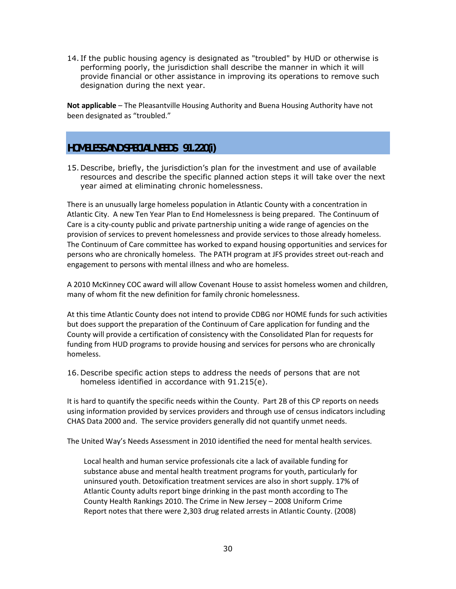14. If the public housing agency is designated as "troubled" by HUD or otherwise is performing poorly, the jurisdiction shall describe the manner in which it will provide financial or other assistance in improving its operations to remove such designation during the next year.

**Not applicable** – The Pleasantville Housing Authority and Buena Housing Authority have not been designated as "troubled."

# **HOMELESS AND SPECIAL NEEDS 91.220(i)**

15. Describe, briefly, the jurisdiction's plan for the investment and use of available resources and describe the specific planned action steps it will take over the next year aimed at eliminating chronic homelessness.

There is an unusually large homeless population in Atlantic County with a concentration in Atlantic City. A new Ten Year Plan to End Homelessness is being prepared. The Continuum of Care is a city-county public and private partnership uniting a wide range of agencies on the provision of services to prevent homelessness and provide services to those already homeless. The Continuum of Care committee has worked to expand housing opportunities and services for persons who are chronically homeless. The PATH program at JFS provides street out-reach and engagement to persons with mental illness and who are homeless.

A 2010 McKinney COC award will allow Covenant House to assist homeless women and children, many of whom fit the new definition for family chronic homelessness.

At this time Atlantic County does not intend to provide CDBG nor HOME funds for such activities but does support the preparation of the Continuum of Care application for funding and the County will provide a certification of consistency with the Consolidated Plan for requests for funding from HUD programs to provide housing and services for persons who are chronically homeless.

16. Describe specific action steps to address the needs of persons that are not homeless identified in accordance with 91.215(e).

It is hard to quantify the specific needs within the County. Part 2B of this CP reports on needs using information provided by services providers and through use of census indicators including CHAS Data 2000 and. The service providers generally did not quantify unmet needs.

The United Way's Needs Assessment in 2010 identified the need for mental health services.

Local health and human service professionals cite a lack of available funding for substance abuse and mental health treatment programs for youth, particularly for uninsured youth. Detoxification treatment services are also in short supply. 17% of Atlantic County adults report binge drinking in the past month according to The County Health Rankings 2010. The Crime in New Jersey – 2008 Uniform Crime Report notes that there were 2,303 drug related arrests in Atlantic County. (2008)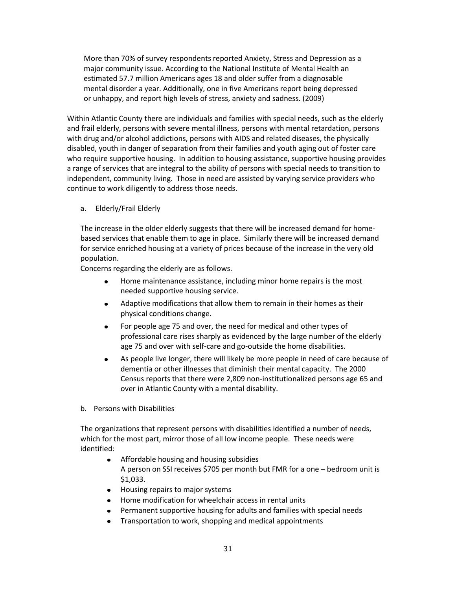More than 70% of survey respondents reported Anxiety, Stress and Depression as a major community issue. According to the National Institute of Mental Health an estimated 57.7 million Americans ages 18 and older suffer from a diagnosable mental disorder a year. Additionally, one in five Americans report being depressed or unhappy, and report high levels of stress, anxiety and sadness. (2009)

Within Atlantic County there are individuals and families with special needs, such as the elderly and frail elderly, persons with severe mental illness, persons with mental retardation, persons with drug and/or alcohol addictions, persons with AIDS and related diseases, the physically disabled, youth in danger of separation from their families and youth aging out of foster care who require supportive housing. In addition to housing assistance, supportive housing provides a range of services that are integral to the ability of persons with special needs to transition to independent, community living. Those in need are assisted by varying service providers who continue to work diligently to address those needs.

a. Elderly/Frail Elderly

The increase in the older elderly suggests that there will be increased demand for homebased services that enable them to age in place. Similarly there will be increased demand for service enriched housing at a variety of prices because of the increase in the very old population.

Concerns regarding the elderly are as follows.

- $\bullet$ Home maintenance assistance, including minor home repairs is the most needed supportive housing service.
- Adaptive modifications that allow them to remain in their homes as their  $\bullet$ physical conditions change.
- $\bullet$ For people age 75 and over, the need for medical and other types of professional care rises sharply as evidenced by the large number of the elderly age 75 and over with self-care and go-outside the home disabilities.
- As people live longer, there will likely be more people in need of care because of  $\bullet$ dementia or other illnesses that diminish their mental capacity. The 2000 Census reports that there were 2,809 non-institutionalized persons age 65 and over in Atlantic County with a mental disability.
- b. Persons with Disabilities

The organizations that represent persons with disabilities identified a number of needs, which for the most part, mirror those of all low income people. These needs were identified:

- $\bullet$ Affordable housing and housing subsidies A person on SSI receives \$705 per month but FMR for a one – bedroom unit is \$1,033.
- Housing repairs to major systems
- Home modification for wheelchair access in rental units
- Permanent supportive housing for adults and families with special needs
- Transportation to work, shopping and medical appointments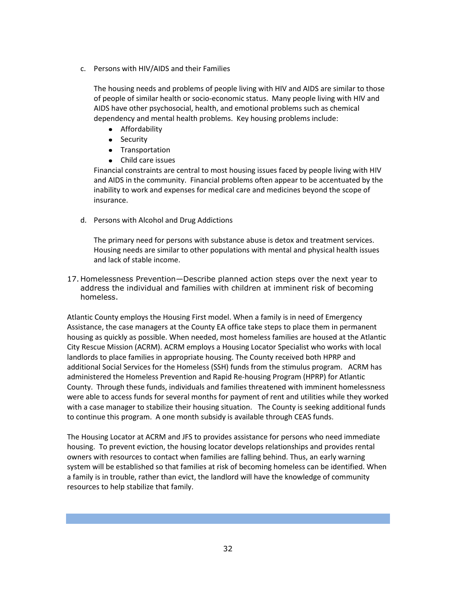c. Persons with HIV/AIDS and their Families

The housing needs and problems of people living with HIV and AIDS are similar to those of people of similar health or socio-economic status. Many people living with HIV and AIDS have other psychosocial, health, and emotional problems such as chemical dependency and mental health problems. Key housing problems include:

- **•** Affordability
- Security
- **•** Transportation
- Child care issues

Financial constraints are central to most housing issues faced by people living with HIV and AIDS in the community. Financial problems often appear to be accentuated by the inability to work and expenses for medical care and medicines beyond the scope of insurance.

d. Persons with Alcohol and Drug Addictions

The primary need for persons with substance abuse is detox and treatment services. Housing needs are similar to other populations with mental and physical health issues and lack of stable income.

17. Homelessness Prevention—Describe planned action steps over the next year to address the individual and families with children at imminent risk of becoming homeless.

Atlantic County employs the Housing First model. When a family is in need of Emergency Assistance, the case managers at the County EA office take steps to place them in permanent housing as quickly as possible. When needed, most homeless families are housed at the Atlantic City Rescue Mission (ACRM). ACRM employs a Housing Locator Specialist who works with local landlords to place families in appropriate housing. The County received both HPRP and additional Social Services for the Homeless (SSH) funds from the stimulus program. ACRM has administered the Homeless Prevention and Rapid Re-housing Program (HPRP) for Atlantic County. Through these funds, individuals and families threatened with imminent homelessness were able to access funds for several months for payment of rent and utilities while they worked with a case manager to stabilize their housing situation. The County is seeking additional funds to continue this program. A one month subsidy is available through CEAS funds.

The Housing Locator at ACRM and JFS to provides assistance for persons who need immediate housing. To prevent eviction, the housing locator develops relationships and provides rental owners with resources to contact when families are falling behind. Thus, an early warning system will be established so that families at risk of becoming homeless can be identified. When a family is in trouble, rather than evict, the landlord will have the knowledge of community resources to help stabilize that family.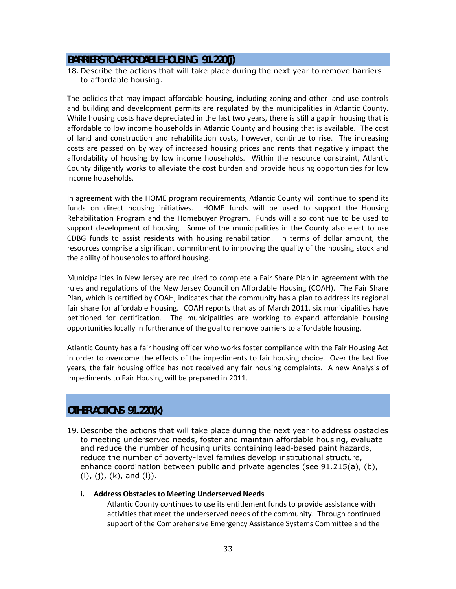#### **BARRIERS TO AFFORDABLE HOUSING 91.220(j)**

18. Describe the actions that will take place during the next year to remove barriers to affordable housing.

The policies that may impact affordable housing, including zoning and other land use controls and building and development permits are regulated by the municipalities in Atlantic County. While housing costs have depreciated in the last two years, there is still a gap in housing that is affordable to low income households in Atlantic County and housing that is available. The cost of land and construction and rehabilitation costs, however, continue to rise. The increasing costs are passed on by way of increased housing prices and rents that negatively impact the affordability of housing by low income households. Within the resource constraint, Atlantic County diligently works to alleviate the cost burden and provide housing opportunities for low income households.

In agreement with the HOME program requirements, Atlantic County will continue to spend its funds on direct housing initiatives. HOME funds will be used to support the Housing Rehabilitation Program and the Homebuyer Program. Funds will also continue to be used to support development of housing. Some of the municipalities in the County also elect to use CDBG funds to assist residents with housing rehabilitation. In terms of dollar amount, the resources comprise a significant commitment to improving the quality of the housing stock and the ability of households to afford housing.

Municipalities in New Jersey are required to complete a Fair Share Plan in agreement with the rules and regulations of the New Jersey Council on Affordable Housing (COAH). The Fair Share Plan, which is certified by COAH, indicates that the community has a plan to address its regional fair share for affordable housing. COAH reports that as of March 2011, six municipalities have petitioned for certification. The municipalities are working to expand affordable housing opportunities locally in furtherance of the goal to remove barriers to affordable housing.

Atlantic County has a fair housing officer who works foster compliance with the Fair Housing Act in order to overcome the effects of the impediments to fair housing choice. Over the last five years, the fair housing office has not received any fair housing complaints. A new Analysis of Impediments to Fair Housing will be prepared in 2011.

# **OTHER ACTIONS 91.220(k)**

19. Describe the actions that will take place during the next year to address obstacles to meeting underserved needs, foster and maintain affordable housing, evaluate and reduce the number of housing units containing lead-based paint hazards, reduce the number of poverty-level families develop institutional structure, enhance coordination between public and private agencies (see 91.215(a), (b),  $(i)$ ,  $(j)$ ,  $(k)$ , and  $(l)$ ).

#### **i. Address Obstacles to Meeting Underserved Needs** Atlantic County continues to use its entitlement funds to provide assistance with activities that meet the underserved needs of the community. Through continued

support of the Comprehensive Emergency Assistance Systems Committee and the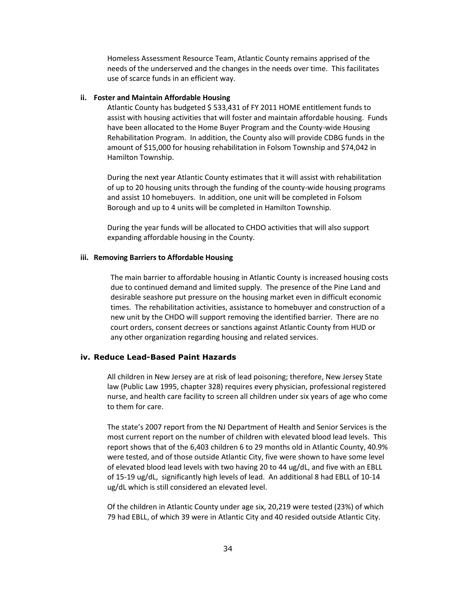Homeless Assessment Resource Team, Atlantic County remains apprised of the needs of the underserved and the changes in the needs over time. This facilitates use of scarce funds in an efficient way.

#### **ii. Foster and Maintain Affordable Housing**

Atlantic County has budgeted \$ 533,431 of FY 2011 HOME entitlement funds to assist with housing activities that will foster and maintain affordable housing. Funds have been allocated to the Home Buyer Program and the County-wide Housing Rehabilitation Program. In addition, the County also will provide CDBG funds in the amount of \$15,000 for housing rehabilitation in Folsom Township and \$74,042 in Hamilton Township.

During the next year Atlantic County estimates that it will assist with rehabilitation of up to 20 housing units through the funding of the county-wide housing programs and assist 10 homebuyers. In addition, one unit will be completed in Folsom Borough and up to 4 units will be completed in Hamilton Township.

During the year funds will be allocated to CHDO activities that will also support expanding affordable housing in the County.

#### **iii. Removing Barriers to Affordable Housing**

The main barrier to affordable housing in Atlantic County is increased housing costs due to continued demand and limited supply. The presence of the Pine Land and desirable seashore put pressure on the housing market even in difficult economic times. The rehabilitation activities, assistance to homebuyer and construction of a new unit by the CHDO will support removing the identified barrier. There are no court orders, consent decrees or sanctions against Atlantic County from HUD or any other organization regarding housing and related services.

#### **iv. Reduce Lead-Based Paint Hazards**

All children in New Jersey are at risk of lead poisoning; therefore, New Jersey State law (Public Law 1995, chapter 328) requires every physician, professional registered nurse, and health care facility to screen all children under six years of age who come to them for care.

The state's 2007 report from the NJ Department of Health and Senior Services is the most current report on the number of children with elevated blood lead levels. This report shows that of the 6,403 children 6 to 29 months old in Atlantic County, 40.9% were tested, and of those outside Atlantic City, five were shown to have some level of elevated blood lead levels with two having 20 to 44 ug/dL, and five with an EBLL of 15-19 ug/dL, significantly high levels of lead. An additional 8 had EBLL of 10-14 ug/dL which is still considered an elevated level.

Of the children in Atlantic County under age six, 20,219 were tested (23%) of which 79 had EBLL, of which 39 were in Atlantic City and 40 resided outside Atlantic City.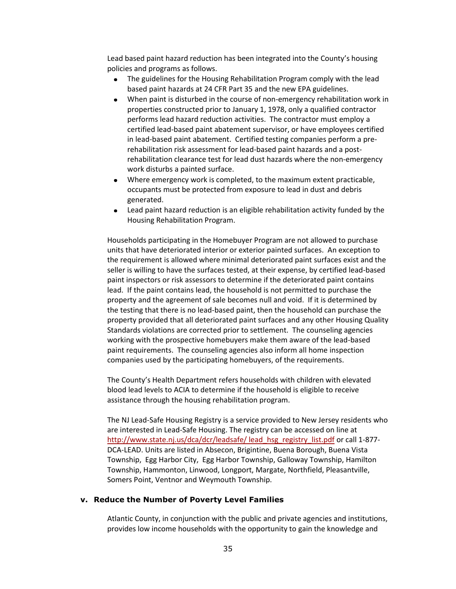Lead based paint hazard reduction has been integrated into the County's housing policies and programs as follows.

- The guidelines for the Housing Rehabilitation Program comply with the lead  $\bullet$ based paint hazards at 24 CFR Part 35 and the new EPA guidelines.
- When paint is disturbed in the course of non-emergency rehabilitation work in properties constructed prior to January 1, 1978, only a qualified contractor performs lead hazard reduction activities. The contractor must employ a certified lead-based paint abatement supervisor, or have employees certified in lead-based paint abatement. Certified testing companies perform a prerehabilitation risk assessment for lead-based paint hazards and a postrehabilitation clearance test for lead dust hazards where the non-emergency work disturbs a painted surface.
- Where emergency work is completed, to the maximum extent practicable,  $\bullet$ occupants must be protected from exposure to lead in dust and debris generated.
- Lead paint hazard reduction is an eligible rehabilitation activity funded by the Housing Rehabilitation Program.

Households participating in the Homebuyer Program are not allowed to purchase units that have deteriorated interior or exterior painted surfaces. An exception to the requirement is allowed where minimal deteriorated paint surfaces exist and the seller is willing to have the surfaces tested, at their expense, by certified lead-based paint inspectors or risk assessors to determine if the deteriorated paint contains lead. If the paint contains lead, the household is not permitted to purchase the property and the agreement of sale becomes null and void. If it is determined by the testing that there is no lead-based paint, then the household can purchase the property provided that all deteriorated paint surfaces and any other Housing Quality Standards violations are corrected prior to settlement. The counseling agencies working with the prospective homebuyers make them aware of the lead-based paint requirements. The counseling agencies also inform all home inspection companies used by the participating homebuyers, of the requirements.

The County's Health Department refers households with children with elevated blood lead levels to ACIA to determine if the household is eligible to receive assistance through the housing rehabilitation program.

The NJ Lead-Safe Housing Registry is a service provided to New Jersey residents who are interested in Lead-Safe Housing. The registry can be accessed on line at http://www.state.nj.us/dca/dcr/leadsafe/ lead hsg\_registry\_list.pdf or call 1-877-DCA-LEAD. Units are listed in Absecon, Brigintine, Buena Borough, Buena Vista Township, Egg Harbor City, Egg Harbor Township, Galloway Township, Hamilton Township, Hammonton, Linwood, Longport, Margate, Northfield, Pleasantville, Somers Point, Ventnor and Weymouth Township.

#### **v. Reduce the Number of Poverty Level Families**

Atlantic County, in conjunction with the public and private agencies and institutions, provides low income households with the opportunity to gain the knowledge and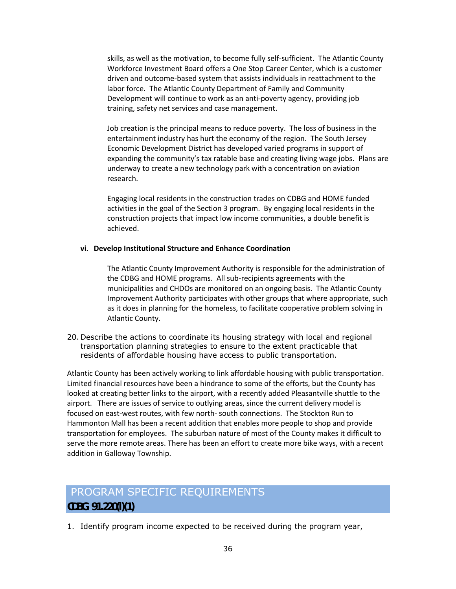skills, as well as the motivation, to become fully self-sufficient. The Atlantic County Workforce Investment Board offers a One Stop Career Center, which is a customer driven and outcome-based system that assists individuals in reattachment to the labor force. The Atlantic County Department of Family and Community Development will continue to work as an anti-poverty agency, providing job training, safety net services and case management.

Job creation is the principal means to reduce poverty. The loss of business in the entertainment industry has hurt the economy of the region. The South Jersey Economic Development District has developed varied programs in support of expanding the community's tax ratable base and creating living wage jobs. Plans are underway to create a new technology park with a concentration on aviation research.

Engaging local residents in the construction trades on CDBG and HOME funded activities in the goal of the Section 3 program. By engaging local residents in the construction projects that impact low income communities, a double benefit is achieved.

#### **vi. Develop Institutional Structure and Enhance Coordination**

The Atlantic County Improvement Authority is responsible for the administration of the CDBG and HOME programs. All sub-recipients agreements with the municipalities and CHDOs are monitored on an ongoing basis. The Atlantic County Improvement Authority participates with other groups that where appropriate, such as it does in planning for the homeless, to facilitate cooperative problem solving in Atlantic County.

20. Describe the actions to coordinate its housing strategy with local and regional transportation planning strategies to ensure to the extent practicable that residents of affordable housing have access to public transportation.

Atlantic County has been actively working to link affordable housing with public transportation. Limited financial resources have been a hindrance to some of the efforts, but the County has looked at creating better links to the airport, with a recently added Pleasantville shuttle to the airport. There are issues of service to outlying areas, since the current delivery model is focused on east-west routes, with few north- south connections. The Stockton Run to Hammonton Mall has been a recent addition that enables more people to shop and provide transportation for employees. The suburban nature of most of the County makes it difficult to serve the more remote areas. There has been an effort to create more bike ways, with a recent addition in Galloway Township.

# PROGRAM SPECIFIC REQUIREMENTS **CDBG 91.220(l)(1)**

1. Identify program income expected to be received during the program year,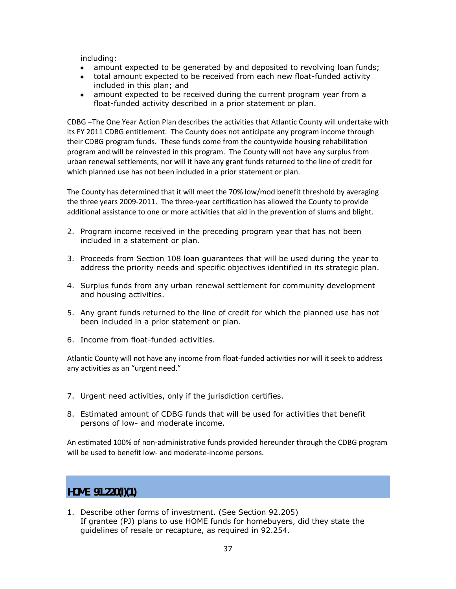including:

- amount expected to be generated by and deposited to revolving loan funds;
- total amount expected to be received from each new float-funded activity included in this plan; and
- amount expected to be received during the current program year from a float-funded activity described in a prior statement or plan.

CDBG –The One Year Action Plan describes the activities that Atlantic County will undertake with its FY 2011 CDBG entitlement. The County does not anticipate any program income through their CDBG program funds. These funds come from the countywide housing rehabilitation program and will be reinvested in this program. The County will not have any surplus from urban renewal settlements, nor will it have any grant funds returned to the line of credit for which planned use has not been included in a prior statement or plan.

The County has determined that it will meet the 70% low/mod benefit threshold by averaging the three years 2009-2011. The three-year certification has allowed the County to provide additional assistance to one or more activities that aid in the prevention of slums and blight.

- 2. Program income received in the preceding program year that has not been included in a statement or plan.
- 3. Proceeds from Section 108 loan guarantees that will be used during the year to address the priority needs and specific objectives identified in its strategic plan.
- 4. Surplus funds from any urban renewal settlement for community development and housing activities.
- 5. Any grant funds returned to the line of credit for which the planned use has not been included in a prior statement or plan.
- 6. Income from float-funded activities.

Atlantic County will not have any income from float-funded activities nor will it seek to address any activities as an "urgent need."

- 7. Urgent need activities, only if the jurisdiction certifies.
- 8. Estimated amount of CDBG funds that will be used for activities that benefit persons of low- and moderate income.

An estimated 100% of non-administrative funds provided hereunder through the CDBG program will be used to benefit low- and moderate-income persons.

**HOME 91.220(l)(1)**

1. Describe other forms of investment. (See Section 92.205) If grantee (PJ) plans to use HOME funds for homebuyers, did they state the guidelines of resale or recapture, as required in 92.254.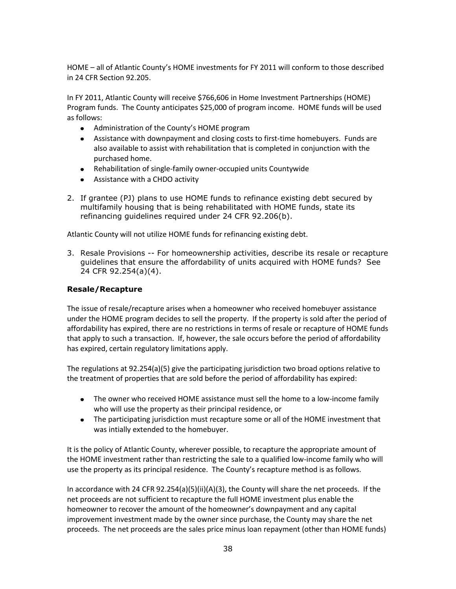HOME – all of Atlantic County's HOME investments for FY 2011 will conform to those described in 24 CFR Section 92.205.

In FY 2011, Atlantic County will receive \$766,606 in Home Investment Partnerships (HOME) Program funds. The County anticipates \$25,000 of program income. HOME funds will be used as follows:

- Administration of the County's HOME program
- Assistance with downpayment and closing costs to first-time homebuyers. Funds are also available to assist with rehabilitation that is completed in conjunction with the purchased home.
- Rehabilitation of single-family owner-occupied units Countywide
- Assistance with a CHDO activity
- 2. If grantee (PJ) plans to use HOME funds to refinance existing debt secured by multifamily housing that is being rehabilitated with HOME funds, state its refinancing guidelines required under 24 CFR 92.206(b).

Atlantic County will not utilize HOME funds for refinancing existing debt.

3. Resale Provisions -- For homeownership activities, describe its resale or recapture guidelines that ensure the affordability of units acquired with HOME funds? See 24 CFR 92.254(a)(4).

#### **Resale/Recapture**

The issue of resale/recapture arises when a homeowner who received homebuyer assistance under the HOME program decides to sell the property. If the property is sold after the period of affordability has expired, there are no restrictions in terms of resale or recapture of HOME funds that apply to such a transaction. If, however, the sale occurs before the period of affordability has expired, certain regulatory limitations apply.

The regulations at 92.254(a)(5) give the participating jurisdiction two broad options relative to the treatment of properties that are sold before the period of affordability has expired:

- The owner who received HOME assistance must sell the home to a low-income family who will use the property as their principal residence, or
- The participating jurisdiction must recapture some or all of the HOME investment that was intially extended to the homebuyer.

It is the policy of Atlantic County, wherever possible, to recapture the appropriate amount of the HOME investment rather than restricting the sale to a qualified low-income family who will use the property as its principal residence. The County's recapture method is as follows.

In accordance with 24 CFR 92.254(a)(5)(ii)(A)(3), the County will share the net proceeds. If the net proceeds are not sufficient to recapture the full HOME investment plus enable the homeowner to recover the amount of the homeowner's downpayment and any capital improvement investment made by the owner since purchase, the County may share the net proceeds. The net proceeds are the sales price minus loan repayment (other than HOME funds)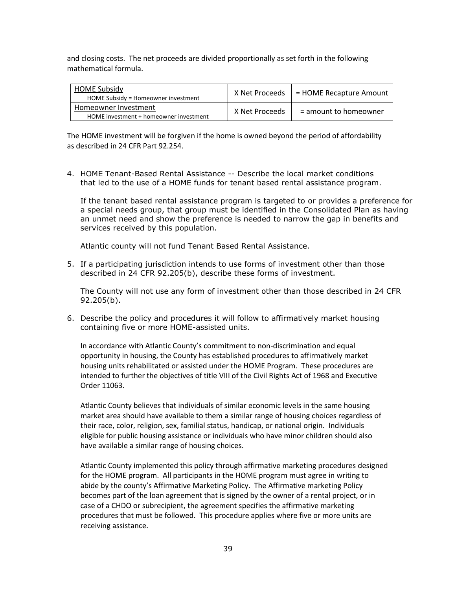and closing costs. The net proceeds are divided proportionally as set forth in the following mathematical formula.

| <b>HOME Subsidy</b><br>HOME Subsidy = Homeowner investment     | X Net Proceeds | = HOME Recapture Amount |
|----------------------------------------------------------------|----------------|-------------------------|
| Homeowner Investment<br>HOME investment + homeowner investment | X Net Proceeds | $=$ amount to homeowner |

The HOME investment will be forgiven if the home is owned beyond the period of affordability as described in 24 CFR Part 92.254.

4. HOME Tenant-Based Rental Assistance -- Describe the local market conditions that led to the use of a HOME funds for tenant based rental assistance program.

If the tenant based rental assistance program is targeted to or provides a preference for a special needs group, that group must be identified in the Consolidated Plan as having an unmet need and show the preference is needed to narrow the gap in benefits and services received by this population.

Atlantic county will not fund Tenant Based Rental Assistance.

5. If a participating jurisdiction intends to use forms of investment other than those described in 24 CFR 92.205(b), describe these forms of investment.

The County will not use any form of investment other than those described in 24 CFR 92.205(b).

6. Describe the policy and procedures it will follow to affirmatively market housing containing five or more HOME-assisted units.

In accordance with Atlantic County's commitment to non-discrimination and equal opportunity in housing, the County has established procedures to affirmatively market housing units rehabilitated or assisted under the HOME Program. These procedures are intended to further the objectives of title VIII of the Civil Rights Act of 1968 and Executive Order 11063.

Atlantic County believes that individuals of similar economic levels in the same housing market area should have available to them a similar range of housing choices regardless of their race, color, religion, sex, familial status, handicap, or national origin. Individuals eligible for public housing assistance or individuals who have minor children should also have available a similar range of housing choices.

Atlantic County implemented this policy through affirmative marketing procedures designed for the HOME program. All participants in the HOME program must agree in writing to abide by the county's Affirmative Marketing Policy. The Affirmative marketing Policy becomes part of the loan agreement that is signed by the owner of a rental project, or in case of a CHDO or subrecipient, the agreement specifies the affirmative marketing procedures that must be followed. This procedure applies where five or more units are receiving assistance.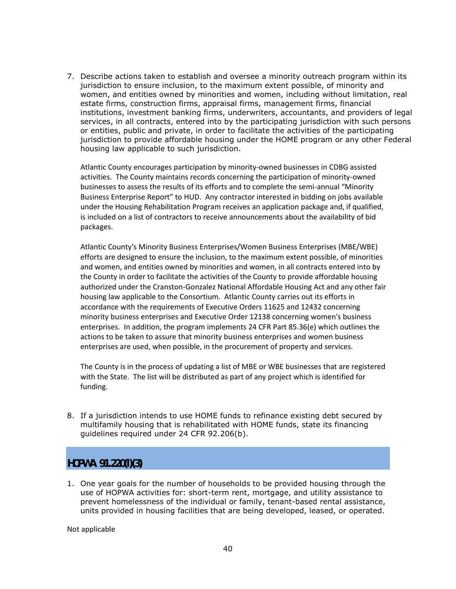7. Describe actions taken to establish and oversee a minority outreach program within its jurisdiction to ensure inclusion, to the maximum extent possible, of minority and women, and entities owned by minorities and women, including without limitation, real estate firms, construction firms, appraisal firms, management firms, financial institutions, investment banking firms, underwriters, accountants, and providers of legal services, in all contracts, entered into by the participating jurisdiction with such persons or entities, public and private, in order to facilitate the activities of the participating jurisdiction to provide affordable housing under the HOME program or any other Federal housing law applicable to such jurisdiction.

Atlantic County encourages participation by minority-owned businesses in CDBG assisted activities. The County maintains records concerning the participation of minority-owned businesses to assess the results of its efforts and to complete the semi-annual "Minority Business Enterprise Report" to HUD. Any contractor interested in bidding on jobs available under the Housing Rehabilitation Program receives an application package and, if qualified, is included on a list of contractors to receive announcements about the availability of bid packages.

Atlantic County's Minority Business Enterprises/Women Business Enterprises (MBE/WBE) efforts are designed to ensure the inclusion, to the maximum extent possible, of minorities and women, and entities owned by minorities and women, in all contracts entered into by the County in order to facilitate the activities of the County to provide affordable housing authorized under the Cranston-Gonzalez National Affordable Housing Act and any other fair housing law applicable to the Consortium. Atlantic County carries out its efforts in accordance with the requirements of Executive Orders 11625 and 12432 concerning minority business enterprises and Executive Order 12138 concerning women's business enterprises. In addition, the program implements 24 CFR Part 85.36(e) which outlines the actions to be taken to assure that minority business enterprises and women business enterprises are used, when possible, in the procurement of property and services.

The County is in the process of updating a list of MBE or WBE businesses that are registered with the State. The list will be distributed as part of any project which is identified for funding.

8. If a jurisdiction intends to use HOME funds to refinance existing debt secured by multifamily housing that is rehabilitated with HOME funds, state its financing guidelines required under 24 CFR 92.206(b).

# **HOPWA 91.220(l)(3)**

1. One year goals for the number of households to be provided housing through the use of HOPWA activities for: short-term rent, mortgage, and utility assistance to prevent homelessness of the individual or family, tenant-based rental assistance, units provided in housing facilities that are being developed, leased, or operated.

Not applicable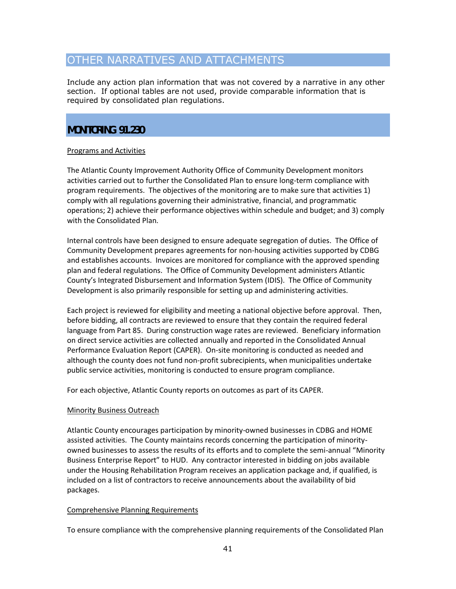# OTHER NARRATIVES AND ATTACHMENTS

Include any action plan information that was not covered by a narrative in any other section. If optional tables are not used, provide comparable information that is required by consolidated plan regulations.

# **MONITORING 91.230**

#### Programs and Activities

The Atlantic County Improvement Authority Office of Community Development monitors activities carried out to further the Consolidated Plan to ensure long-term compliance with program requirements. The objectives of the monitoring are to make sure that activities 1) comply with all regulations governing their administrative, financial, and programmatic operations; 2) achieve their performance objectives within schedule and budget; and 3) comply with the Consolidated Plan.

Internal controls have been designed to ensure adequate segregation of duties. The Office of Community Development prepares agreements for non-housing activities supported by CDBG and establishes accounts. Invoices are monitored for compliance with the approved spending plan and federal regulations. The Office of Community Development administers Atlantic County's Integrated Disbursement and Information System (IDIS). The Office of Community Development is also primarily responsible for setting up and administering activities.

Each project is reviewed for eligibility and meeting a national objective before approval. Then, before bidding, all contracts are reviewed to ensure that they contain the required federal language from Part 85. During construction wage rates are reviewed. Beneficiary information on direct service activities are collected annually and reported in the Consolidated Annual Performance Evaluation Report (CAPER). On-site monitoring is conducted as needed and although the county does not fund non-profit subrecipients, when municipalities undertake public service activities, monitoring is conducted to ensure program compliance.

For each objective, Atlantic County reports on outcomes as part of its CAPER.

#### Minority Business Outreach

Atlantic County encourages participation by minority-owned businesses in CDBG and HOME assisted activities. The County maintains records concerning the participation of minorityowned businesses to assess the results of its efforts and to complete the semi-annual "Minority Business Enterprise Report" to HUD. Any contractor interested in bidding on jobs available under the Housing Rehabilitation Program receives an application package and, if qualified, is included on a list of contractors to receive announcements about the availability of bid packages.

#### Comprehensive Planning Requirements

To ensure compliance with the comprehensive planning requirements of the Consolidated Plan